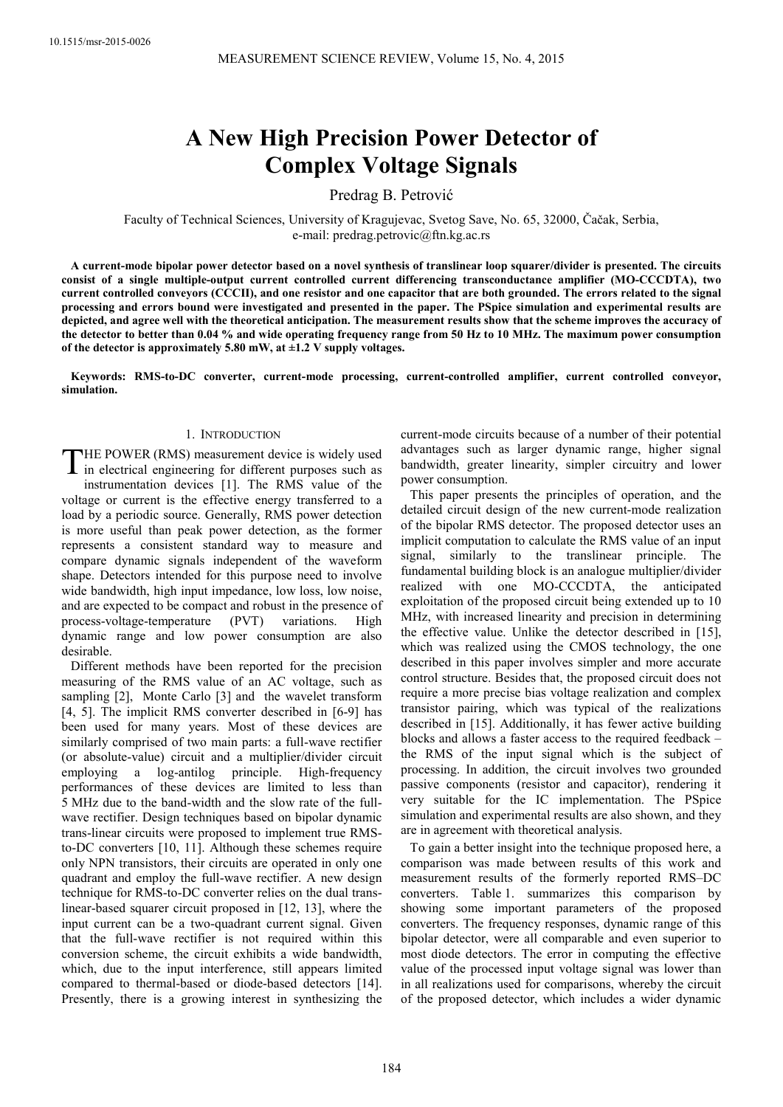# **A New High Precision Power Detector of Complex Voltage Signals**

Predrag B. Petrović

Faculty of Technical Sciences, University of Kragujevac, Svetog Save, No. 65, 32000, Čačak, Serbia, e-mail: predrag.petrovic@ftn.kg.ac.rs

**A current-mode bipolar power detector based on a novel synthesis of translinear loop squarer/divider is presented. The circuits consist of a single multiple-output current controlled current differencing transconductance amplifier (MO-CCCDTA), two current controlled conveyors (CCCII), and one resistor and one capacitor that are both grounded. The errors related to the signal processing and errors bound were investigated and presented in the paper. The PSpice simulation and experimental results are depicted, and agree well with the theoretical anticipation. The measurement results show that the scheme improves the accuracy of the detector to better than 0.04 % and wide operating frequency range from 50 Hz to 10 MHz. The maximum power consumption of the detector is approximately 5.80 mW, at ±1.2 V supply voltages.** 

**Keywords: RMS-to-DC converter, current-mode processing, current-controlled amplifier, current controlled conveyor, simulation.** 

# 1. INTRODUCTION

HE POWER (RMS) measurement device is widely used THE POWER (RMS) measurement device is widely used<br>in electrical engineering for different purposes such as instrumentation devices [1]. The RMS value of the voltage or current is the effective energy transferred to a load by a periodic source. Generally, RMS power detection is more useful than peak power detection, as the former represents a consistent standard way to measure and compare dynamic signals independent of the waveform shape. Detectors intended for this purpose need to involve wide bandwidth, high input impedance, low loss, low noise, and are expected to be compact and robust in the presence of process-voltage-temperature (PVT) variations. High dynamic range and low power consumption are also desirable.

Different methods have been reported for the precision measuring of the RMS value of an AC voltage, such as sampling [2], Monte Carlo [3] and the wavelet transform [4, 5]. The implicit RMS converter described in [6-9] has been used for many years. Most of these devices are similarly comprised of two main parts: a full-wave rectifier (or absolute-value) circuit and a multiplier/divider circuit employing a log-antilog principle. High-frequency performances of these devices are limited to less than 5 MHz due to the band-width and the slow rate of the fullwave rectifier. Design techniques based on bipolar dynamic trans-linear circuits were proposed to implement true RMSto-DC converters [10, 11]. Although these schemes require only NPN transistors, their circuits are operated in only one quadrant and employ the full-wave rectifier. A new design technique for RMS-to-DC converter relies on the dual translinear-based squarer circuit proposed in [12, 13], where the input current can be a two-quadrant current signal. Given that the full-wave rectifier is not required within this conversion scheme, the circuit exhibits a wide bandwidth, which, due to the input interference, still appears limited compared to thermal-based or diode-based detectors [14]. Presently, there is a growing interest in synthesizing the

current-mode circuits because of a number of their potential advantages such as larger dynamic range, higher signal bandwidth, greater linearity, simpler circuitry and lower power consumption.

This paper presents the principles of operation, and the detailed circuit design of the new current-mode realization of the bipolar RMS detector. The proposed detector uses an implicit computation to calculate the RMS value of an input signal, similarly to the translinear principle. The fundamental building block is an analogue multiplier/divider realized with one MO-CCCDTA, the anticipated exploitation of the proposed circuit being extended up to 10 MHz, with increased linearity and precision in determining the effective value. Unlike the detector described in [15], which was realized using the CMOS technology, the one described in this paper involves simpler and more accurate control structure. Besides that, the proposed circuit does not require a more precise bias voltage realization and complex transistor pairing, which was typical of the realizations described in [15]. Additionally, it has fewer active building blocks and allows a faster access to the required feedback – the RMS of the input signal which is the subject of processing. In addition, the circuit involves two grounded passive components (resistor and capacitor), rendering it very suitable for the IC implementation. The PSpice simulation and experimental results are also shown, and they are in agreement with theoretical analysis.

To gain a better insight into the technique proposed here, a comparison was made between results of this work and measurement results of the formerly reported RMS–DC converters. Table 1. summarizes this comparison by showing some important parameters of the proposed converters. The frequency responses, dynamic range of this bipolar detector, were all comparable and even superior to most diode detectors. The error in computing the effective value of the processed input voltage signal was lower than in all realizations used for comparisons, whereby the circuit of the proposed detector, which includes a wider dynamic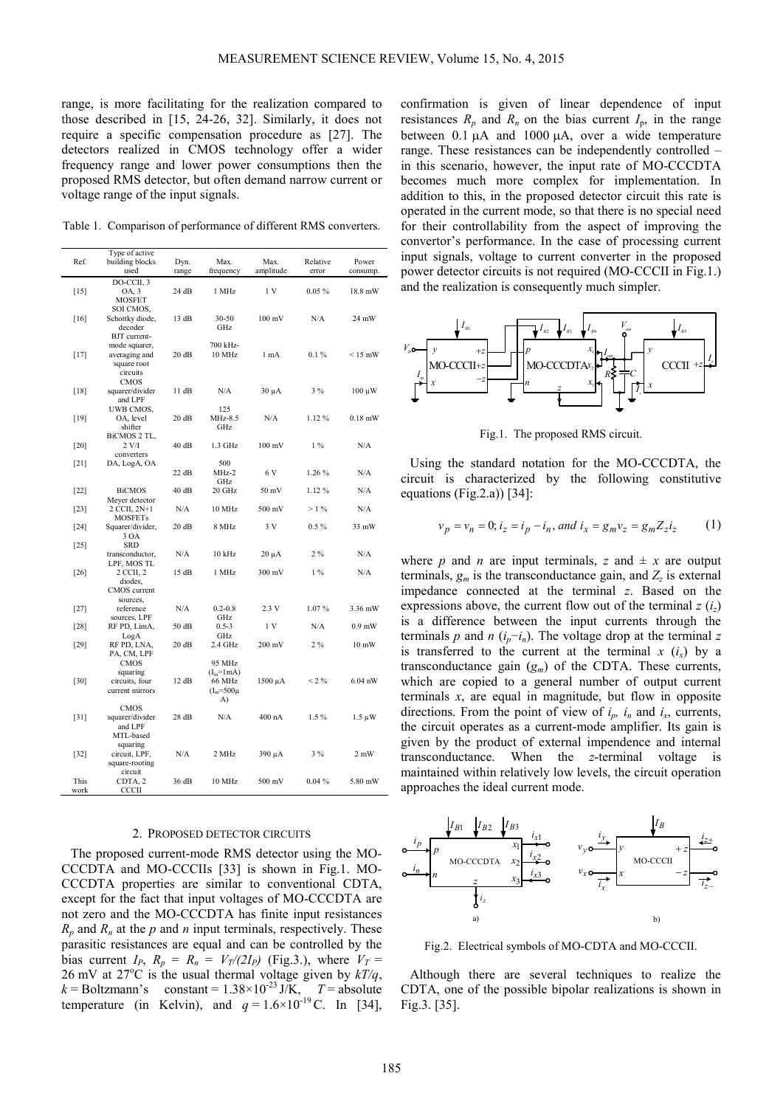range, is more facilitating for the realization compared to those described in [15, 24-26, 32]. Similarly, it does not require a specific compensation procedure as [27]. The detectors realized in CMOS technology offer a wider frequency range and lower power consumptions then the proposed RMS detector, but often demand narrow current or voltage range of the input signals.

Table 1. Comparison of performance of different RMS converters.

| Ref.<br>building blocks<br>Dyn.<br>Max.<br>Max.<br>Relative<br>Power<br>used<br>amplitude<br>range<br>frequency<br>error<br>consump.<br>DO-CCII, 3<br>1 MHz<br>1V<br>$0.05 \%$<br>$[15]$<br>OA, 3<br>24 dB<br>18.8 mW<br><b>MOSFET</b><br>SOI CMOS,<br>Schottky diode,<br>13 dB<br>30-50<br>$100 \text{ mV}$<br>N/A<br>24 mW<br>$[16]$<br>decoder<br>GHz<br>BJT current-<br>700 kHz-<br>mode squarer,<br>$0.1\%$<br>averaging and<br>20 dB<br>10 MHz<br>1 mA<br>$< 15$ mW<br>$[17]$<br>square root<br>circuits<br><b>CMOS</b><br>$3\%$<br>squarer/divider<br>11 dB<br>N/A<br>$[18]$<br>$30 \mu A$<br>$100 \mu W$<br>and LPF<br>125<br>UWB CMOS,<br>OA, level<br>20 dB<br>MHz-8.5<br>N/A<br>1.12%<br>$0.18$ mW<br>$[19]$<br>GHz<br>shifter<br>BiCMOS 2 TL,<br>$1.3$ GHz<br>$100 \text{ mV}$<br>$1\%$<br>N/A<br>$[20]$<br>2 V/I<br>40 dB<br>converters<br>500<br>$[21]$<br>DA, LogA, OA<br>N/A<br>22 dB<br>MHz-2<br>6 V<br>1.26 %<br>GHz<br>40dB<br>20 GHz<br>50 mV<br>1.12%<br>N/A<br><b>BiCMOS</b><br>$[22]$<br>Meyer detector<br>2 CCII, 2N+1<br>N/A<br>10 MHz<br>500 mV<br>$>1\%$<br>N/A<br>$[23]$<br><b>MOSFETs</b><br>3V<br>$0.5\%$<br>20 dB<br>8 MHz<br>$33$ mW<br>$[24]$<br>Squarer/divider,<br>3 OA<br><b>SRD</b><br>$[25]$<br>$2\%$<br>N/A<br>10 kHz<br>N/A<br>transconductor,<br>$20 \mu A$<br>LPF, MOS TL<br>2 CCII, 2<br>1 MHz<br>300 mV<br>$1\%$<br>N/A<br>15 dB<br>$[26]$<br>diodes.<br>CMOS current<br>sources,<br>N/A<br>$0.2 - 0.8$<br>2.3V<br>1.07%<br>3.36 mW<br>$[27]$<br>reference<br>sources, LPF<br>GHz<br>50 dB<br>$0.5 - 3$<br>1 V<br>N/A<br>$0.9$ mW<br>$[28]$<br>RF PD, LimA,<br>GHz<br>LogA<br>$2\%$<br>$[29]$<br>RF PD, LNA,<br>20 dB<br>$2.4$ GHz<br>$200 \text{ mV}$<br>$10 \text{ mW}$<br>PA, CM, LPF<br><b>CMOS</b><br>95 MHz<br>squaring<br>$(Iin=1mA)$<br>$[30]$<br>circuits, four<br>12 dB<br>66 MHz<br>$1500 \mu A$<br>$< 2\%$<br>$6.04$ nW<br>current mirrors<br>$(I_{in} = 500 \mu$<br>A)<br><b>CMOS</b><br>N/A<br>400 nA<br>1.5%<br>28 dB<br>$[31]$<br>squarer/divider<br>$1.5 \mu W$<br>and LPF<br>MTL-based<br>squaring<br>3%<br>circuit, LPF,<br>N/A<br>2 MHz<br>390 μA<br>2 mW<br>$[32]$<br>square-rooting<br>circuit<br>500 mV<br>This<br>CDTA <sub>, 2</sub><br>36 dB<br>10 MHz<br>0.04%<br>5.80 mW<br>CCCII<br>work | Type of active |  |  |  |
|-------------------------------------------------------------------------------------------------------------------------------------------------------------------------------------------------------------------------------------------------------------------------------------------------------------------------------------------------------------------------------------------------------------------------------------------------------------------------------------------------------------------------------------------------------------------------------------------------------------------------------------------------------------------------------------------------------------------------------------------------------------------------------------------------------------------------------------------------------------------------------------------------------------------------------------------------------------------------------------------------------------------------------------------------------------------------------------------------------------------------------------------------------------------------------------------------------------------------------------------------------------------------------------------------------------------------------------------------------------------------------------------------------------------------------------------------------------------------------------------------------------------------------------------------------------------------------------------------------------------------------------------------------------------------------------------------------------------------------------------------------------------------------------------------------------------------------------------------------------------------------------------------------------------------------------------------------------------------------------------------------------------------------------------------------------------------------------------------------------------------------------------------------------------------------------------------------------------------------------------------------------------|----------------|--|--|--|
|                                                                                                                                                                                                                                                                                                                                                                                                                                                                                                                                                                                                                                                                                                                                                                                                                                                                                                                                                                                                                                                                                                                                                                                                                                                                                                                                                                                                                                                                                                                                                                                                                                                                                                                                                                                                                                                                                                                                                                                                                                                                                                                                                                                                                                                                   |                |  |  |  |
|                                                                                                                                                                                                                                                                                                                                                                                                                                                                                                                                                                                                                                                                                                                                                                                                                                                                                                                                                                                                                                                                                                                                                                                                                                                                                                                                                                                                                                                                                                                                                                                                                                                                                                                                                                                                                                                                                                                                                                                                                                                                                                                                                                                                                                                                   |                |  |  |  |
|                                                                                                                                                                                                                                                                                                                                                                                                                                                                                                                                                                                                                                                                                                                                                                                                                                                                                                                                                                                                                                                                                                                                                                                                                                                                                                                                                                                                                                                                                                                                                                                                                                                                                                                                                                                                                                                                                                                                                                                                                                                                                                                                                                                                                                                                   |                |  |  |  |
|                                                                                                                                                                                                                                                                                                                                                                                                                                                                                                                                                                                                                                                                                                                                                                                                                                                                                                                                                                                                                                                                                                                                                                                                                                                                                                                                                                                                                                                                                                                                                                                                                                                                                                                                                                                                                                                                                                                                                                                                                                                                                                                                                                                                                                                                   |                |  |  |  |
|                                                                                                                                                                                                                                                                                                                                                                                                                                                                                                                                                                                                                                                                                                                                                                                                                                                                                                                                                                                                                                                                                                                                                                                                                                                                                                                                                                                                                                                                                                                                                                                                                                                                                                                                                                                                                                                                                                                                                                                                                                                                                                                                                                                                                                                                   |                |  |  |  |
|                                                                                                                                                                                                                                                                                                                                                                                                                                                                                                                                                                                                                                                                                                                                                                                                                                                                                                                                                                                                                                                                                                                                                                                                                                                                                                                                                                                                                                                                                                                                                                                                                                                                                                                                                                                                                                                                                                                                                                                                                                                                                                                                                                                                                                                                   |                |  |  |  |
|                                                                                                                                                                                                                                                                                                                                                                                                                                                                                                                                                                                                                                                                                                                                                                                                                                                                                                                                                                                                                                                                                                                                                                                                                                                                                                                                                                                                                                                                                                                                                                                                                                                                                                                                                                                                                                                                                                                                                                                                                                                                                                                                                                                                                                                                   |                |  |  |  |
|                                                                                                                                                                                                                                                                                                                                                                                                                                                                                                                                                                                                                                                                                                                                                                                                                                                                                                                                                                                                                                                                                                                                                                                                                                                                                                                                                                                                                                                                                                                                                                                                                                                                                                                                                                                                                                                                                                                                                                                                                                                                                                                                                                                                                                                                   |                |  |  |  |
|                                                                                                                                                                                                                                                                                                                                                                                                                                                                                                                                                                                                                                                                                                                                                                                                                                                                                                                                                                                                                                                                                                                                                                                                                                                                                                                                                                                                                                                                                                                                                                                                                                                                                                                                                                                                                                                                                                                                                                                                                                                                                                                                                                                                                                                                   |                |  |  |  |
|                                                                                                                                                                                                                                                                                                                                                                                                                                                                                                                                                                                                                                                                                                                                                                                                                                                                                                                                                                                                                                                                                                                                                                                                                                                                                                                                                                                                                                                                                                                                                                                                                                                                                                                                                                                                                                                                                                                                                                                                                                                                                                                                                                                                                                                                   |                |  |  |  |
|                                                                                                                                                                                                                                                                                                                                                                                                                                                                                                                                                                                                                                                                                                                                                                                                                                                                                                                                                                                                                                                                                                                                                                                                                                                                                                                                                                                                                                                                                                                                                                                                                                                                                                                                                                                                                                                                                                                                                                                                                                                                                                                                                                                                                                                                   |                |  |  |  |
|                                                                                                                                                                                                                                                                                                                                                                                                                                                                                                                                                                                                                                                                                                                                                                                                                                                                                                                                                                                                                                                                                                                                                                                                                                                                                                                                                                                                                                                                                                                                                                                                                                                                                                                                                                                                                                                                                                                                                                                                                                                                                                                                                                                                                                                                   |                |  |  |  |
|                                                                                                                                                                                                                                                                                                                                                                                                                                                                                                                                                                                                                                                                                                                                                                                                                                                                                                                                                                                                                                                                                                                                                                                                                                                                                                                                                                                                                                                                                                                                                                                                                                                                                                                                                                                                                                                                                                                                                                                                                                                                                                                                                                                                                                                                   |                |  |  |  |
|                                                                                                                                                                                                                                                                                                                                                                                                                                                                                                                                                                                                                                                                                                                                                                                                                                                                                                                                                                                                                                                                                                                                                                                                                                                                                                                                                                                                                                                                                                                                                                                                                                                                                                                                                                                                                                                                                                                                                                                                                                                                                                                                                                                                                                                                   |                |  |  |  |
|                                                                                                                                                                                                                                                                                                                                                                                                                                                                                                                                                                                                                                                                                                                                                                                                                                                                                                                                                                                                                                                                                                                                                                                                                                                                                                                                                                                                                                                                                                                                                                                                                                                                                                                                                                                                                                                                                                                                                                                                                                                                                                                                                                                                                                                                   |                |  |  |  |
|                                                                                                                                                                                                                                                                                                                                                                                                                                                                                                                                                                                                                                                                                                                                                                                                                                                                                                                                                                                                                                                                                                                                                                                                                                                                                                                                                                                                                                                                                                                                                                                                                                                                                                                                                                                                                                                                                                                                                                                                                                                                                                                                                                                                                                                                   |                |  |  |  |
|                                                                                                                                                                                                                                                                                                                                                                                                                                                                                                                                                                                                                                                                                                                                                                                                                                                                                                                                                                                                                                                                                                                                                                                                                                                                                                                                                                                                                                                                                                                                                                                                                                                                                                                                                                                                                                                                                                                                                                                                                                                                                                                                                                                                                                                                   |                |  |  |  |
|                                                                                                                                                                                                                                                                                                                                                                                                                                                                                                                                                                                                                                                                                                                                                                                                                                                                                                                                                                                                                                                                                                                                                                                                                                                                                                                                                                                                                                                                                                                                                                                                                                                                                                                                                                                                                                                                                                                                                                                                                                                                                                                                                                                                                                                                   |                |  |  |  |
|                                                                                                                                                                                                                                                                                                                                                                                                                                                                                                                                                                                                                                                                                                                                                                                                                                                                                                                                                                                                                                                                                                                                                                                                                                                                                                                                                                                                                                                                                                                                                                                                                                                                                                                                                                                                                                                                                                                                                                                                                                                                                                                                                                                                                                                                   |                |  |  |  |
|                                                                                                                                                                                                                                                                                                                                                                                                                                                                                                                                                                                                                                                                                                                                                                                                                                                                                                                                                                                                                                                                                                                                                                                                                                                                                                                                                                                                                                                                                                                                                                                                                                                                                                                                                                                                                                                                                                                                                                                                                                                                                                                                                                                                                                                                   |                |  |  |  |
|                                                                                                                                                                                                                                                                                                                                                                                                                                                                                                                                                                                                                                                                                                                                                                                                                                                                                                                                                                                                                                                                                                                                                                                                                                                                                                                                                                                                                                                                                                                                                                                                                                                                                                                                                                                                                                                                                                                                                                                                                                                                                                                                                                                                                                                                   |                |  |  |  |
|                                                                                                                                                                                                                                                                                                                                                                                                                                                                                                                                                                                                                                                                                                                                                                                                                                                                                                                                                                                                                                                                                                                                                                                                                                                                                                                                                                                                                                                                                                                                                                                                                                                                                                                                                                                                                                                                                                                                                                                                                                                                                                                                                                                                                                                                   |                |  |  |  |
|                                                                                                                                                                                                                                                                                                                                                                                                                                                                                                                                                                                                                                                                                                                                                                                                                                                                                                                                                                                                                                                                                                                                                                                                                                                                                                                                                                                                                                                                                                                                                                                                                                                                                                                                                                                                                                                                                                                                                                                                                                                                                                                                                                                                                                                                   |                |  |  |  |
|                                                                                                                                                                                                                                                                                                                                                                                                                                                                                                                                                                                                                                                                                                                                                                                                                                                                                                                                                                                                                                                                                                                                                                                                                                                                                                                                                                                                                                                                                                                                                                                                                                                                                                                                                                                                                                                                                                                                                                                                                                                                                                                                                                                                                                                                   |                |  |  |  |
|                                                                                                                                                                                                                                                                                                                                                                                                                                                                                                                                                                                                                                                                                                                                                                                                                                                                                                                                                                                                                                                                                                                                                                                                                                                                                                                                                                                                                                                                                                                                                                                                                                                                                                                                                                                                                                                                                                                                                                                                                                                                                                                                                                                                                                                                   |                |  |  |  |
|                                                                                                                                                                                                                                                                                                                                                                                                                                                                                                                                                                                                                                                                                                                                                                                                                                                                                                                                                                                                                                                                                                                                                                                                                                                                                                                                                                                                                                                                                                                                                                                                                                                                                                                                                                                                                                                                                                                                                                                                                                                                                                                                                                                                                                                                   |                |  |  |  |
|                                                                                                                                                                                                                                                                                                                                                                                                                                                                                                                                                                                                                                                                                                                                                                                                                                                                                                                                                                                                                                                                                                                                                                                                                                                                                                                                                                                                                                                                                                                                                                                                                                                                                                                                                                                                                                                                                                                                                                                                                                                                                                                                                                                                                                                                   |                |  |  |  |
|                                                                                                                                                                                                                                                                                                                                                                                                                                                                                                                                                                                                                                                                                                                                                                                                                                                                                                                                                                                                                                                                                                                                                                                                                                                                                                                                                                                                                                                                                                                                                                                                                                                                                                                                                                                                                                                                                                                                                                                                                                                                                                                                                                                                                                                                   |                |  |  |  |
|                                                                                                                                                                                                                                                                                                                                                                                                                                                                                                                                                                                                                                                                                                                                                                                                                                                                                                                                                                                                                                                                                                                                                                                                                                                                                                                                                                                                                                                                                                                                                                                                                                                                                                                                                                                                                                                                                                                                                                                                                                                                                                                                                                                                                                                                   |                |  |  |  |
|                                                                                                                                                                                                                                                                                                                                                                                                                                                                                                                                                                                                                                                                                                                                                                                                                                                                                                                                                                                                                                                                                                                                                                                                                                                                                                                                                                                                                                                                                                                                                                                                                                                                                                                                                                                                                                                                                                                                                                                                                                                                                                                                                                                                                                                                   |                |  |  |  |
|                                                                                                                                                                                                                                                                                                                                                                                                                                                                                                                                                                                                                                                                                                                                                                                                                                                                                                                                                                                                                                                                                                                                                                                                                                                                                                                                                                                                                                                                                                                                                                                                                                                                                                                                                                                                                                                                                                                                                                                                                                                                                                                                                                                                                                                                   |                |  |  |  |
|                                                                                                                                                                                                                                                                                                                                                                                                                                                                                                                                                                                                                                                                                                                                                                                                                                                                                                                                                                                                                                                                                                                                                                                                                                                                                                                                                                                                                                                                                                                                                                                                                                                                                                                                                                                                                                                                                                                                                                                                                                                                                                                                                                                                                                                                   |                |  |  |  |
|                                                                                                                                                                                                                                                                                                                                                                                                                                                                                                                                                                                                                                                                                                                                                                                                                                                                                                                                                                                                                                                                                                                                                                                                                                                                                                                                                                                                                                                                                                                                                                                                                                                                                                                                                                                                                                                                                                                                                                                                                                                                                                                                                                                                                                                                   |                |  |  |  |
|                                                                                                                                                                                                                                                                                                                                                                                                                                                                                                                                                                                                                                                                                                                                                                                                                                                                                                                                                                                                                                                                                                                                                                                                                                                                                                                                                                                                                                                                                                                                                                                                                                                                                                                                                                                                                                                                                                                                                                                                                                                                                                                                                                                                                                                                   |                |  |  |  |
|                                                                                                                                                                                                                                                                                                                                                                                                                                                                                                                                                                                                                                                                                                                                                                                                                                                                                                                                                                                                                                                                                                                                                                                                                                                                                                                                                                                                                                                                                                                                                                                                                                                                                                                                                                                                                                                                                                                                                                                                                                                                                                                                                                                                                                                                   |                |  |  |  |
|                                                                                                                                                                                                                                                                                                                                                                                                                                                                                                                                                                                                                                                                                                                                                                                                                                                                                                                                                                                                                                                                                                                                                                                                                                                                                                                                                                                                                                                                                                                                                                                                                                                                                                                                                                                                                                                                                                                                                                                                                                                                                                                                                                                                                                                                   |                |  |  |  |
|                                                                                                                                                                                                                                                                                                                                                                                                                                                                                                                                                                                                                                                                                                                                                                                                                                                                                                                                                                                                                                                                                                                                                                                                                                                                                                                                                                                                                                                                                                                                                                                                                                                                                                                                                                                                                                                                                                                                                                                                                                                                                                                                                                                                                                                                   |                |  |  |  |
|                                                                                                                                                                                                                                                                                                                                                                                                                                                                                                                                                                                                                                                                                                                                                                                                                                                                                                                                                                                                                                                                                                                                                                                                                                                                                                                                                                                                                                                                                                                                                                                                                                                                                                                                                                                                                                                                                                                                                                                                                                                                                                                                                                                                                                                                   |                |  |  |  |
|                                                                                                                                                                                                                                                                                                                                                                                                                                                                                                                                                                                                                                                                                                                                                                                                                                                                                                                                                                                                                                                                                                                                                                                                                                                                                                                                                                                                                                                                                                                                                                                                                                                                                                                                                                                                                                                                                                                                                                                                                                                                                                                                                                                                                                                                   |                |  |  |  |
|                                                                                                                                                                                                                                                                                                                                                                                                                                                                                                                                                                                                                                                                                                                                                                                                                                                                                                                                                                                                                                                                                                                                                                                                                                                                                                                                                                                                                                                                                                                                                                                                                                                                                                                                                                                                                                                                                                                                                                                                                                                                                                                                                                                                                                                                   |                |  |  |  |
|                                                                                                                                                                                                                                                                                                                                                                                                                                                                                                                                                                                                                                                                                                                                                                                                                                                                                                                                                                                                                                                                                                                                                                                                                                                                                                                                                                                                                                                                                                                                                                                                                                                                                                                                                                                                                                                                                                                                                                                                                                                                                                                                                                                                                                                                   |                |  |  |  |
|                                                                                                                                                                                                                                                                                                                                                                                                                                                                                                                                                                                                                                                                                                                                                                                                                                                                                                                                                                                                                                                                                                                                                                                                                                                                                                                                                                                                                                                                                                                                                                                                                                                                                                                                                                                                                                                                                                                                                                                                                                                                                                                                                                                                                                                                   |                |  |  |  |
|                                                                                                                                                                                                                                                                                                                                                                                                                                                                                                                                                                                                                                                                                                                                                                                                                                                                                                                                                                                                                                                                                                                                                                                                                                                                                                                                                                                                                                                                                                                                                                                                                                                                                                                                                                                                                                                                                                                                                                                                                                                                                                                                                                                                                                                                   |                |  |  |  |
|                                                                                                                                                                                                                                                                                                                                                                                                                                                                                                                                                                                                                                                                                                                                                                                                                                                                                                                                                                                                                                                                                                                                                                                                                                                                                                                                                                                                                                                                                                                                                                                                                                                                                                                                                                                                                                                                                                                                                                                                                                                                                                                                                                                                                                                                   |                |  |  |  |
|                                                                                                                                                                                                                                                                                                                                                                                                                                                                                                                                                                                                                                                                                                                                                                                                                                                                                                                                                                                                                                                                                                                                                                                                                                                                                                                                                                                                                                                                                                                                                                                                                                                                                                                                                                                                                                                                                                                                                                                                                                                                                                                                                                                                                                                                   |                |  |  |  |
|                                                                                                                                                                                                                                                                                                                                                                                                                                                                                                                                                                                                                                                                                                                                                                                                                                                                                                                                                                                                                                                                                                                                                                                                                                                                                                                                                                                                                                                                                                                                                                                                                                                                                                                                                                                                                                                                                                                                                                                                                                                                                                                                                                                                                                                                   |                |  |  |  |
|                                                                                                                                                                                                                                                                                                                                                                                                                                                                                                                                                                                                                                                                                                                                                                                                                                                                                                                                                                                                                                                                                                                                                                                                                                                                                                                                                                                                                                                                                                                                                                                                                                                                                                                                                                                                                                                                                                                                                                                                                                                                                                                                                                                                                                                                   |                |  |  |  |
|                                                                                                                                                                                                                                                                                                                                                                                                                                                                                                                                                                                                                                                                                                                                                                                                                                                                                                                                                                                                                                                                                                                                                                                                                                                                                                                                                                                                                                                                                                                                                                                                                                                                                                                                                                                                                                                                                                                                                                                                                                                                                                                                                                                                                                                                   |                |  |  |  |
|                                                                                                                                                                                                                                                                                                                                                                                                                                                                                                                                                                                                                                                                                                                                                                                                                                                                                                                                                                                                                                                                                                                                                                                                                                                                                                                                                                                                                                                                                                                                                                                                                                                                                                                                                                                                                                                                                                                                                                                                                                                                                                                                                                                                                                                                   |                |  |  |  |
|                                                                                                                                                                                                                                                                                                                                                                                                                                                                                                                                                                                                                                                                                                                                                                                                                                                                                                                                                                                                                                                                                                                                                                                                                                                                                                                                                                                                                                                                                                                                                                                                                                                                                                                                                                                                                                                                                                                                                                                                                                                                                                                                                                                                                                                                   |                |  |  |  |
|                                                                                                                                                                                                                                                                                                                                                                                                                                                                                                                                                                                                                                                                                                                                                                                                                                                                                                                                                                                                                                                                                                                                                                                                                                                                                                                                                                                                                                                                                                                                                                                                                                                                                                                                                                                                                                                                                                                                                                                                                                                                                                                                                                                                                                                                   |                |  |  |  |
|                                                                                                                                                                                                                                                                                                                                                                                                                                                                                                                                                                                                                                                                                                                                                                                                                                                                                                                                                                                                                                                                                                                                                                                                                                                                                                                                                                                                                                                                                                                                                                                                                                                                                                                                                                                                                                                                                                                                                                                                                                                                                                                                                                                                                                                                   |                |  |  |  |
|                                                                                                                                                                                                                                                                                                                                                                                                                                                                                                                                                                                                                                                                                                                                                                                                                                                                                                                                                                                                                                                                                                                                                                                                                                                                                                                                                                                                                                                                                                                                                                                                                                                                                                                                                                                                                                                                                                                                                                                                                                                                                                                                                                                                                                                                   |                |  |  |  |

#### 2. PROPOSED DETECTOR CIRCUITS

The proposed current-mode RMS detector using the MO-CCCDTA and MO-CCCIIs [33] is shown in Fig.1. MO-CCCDTA properties are similar to conventional CDTA, except for the fact that input voltages of MO-CCCDTA are not zero and the MO-CCCDTA has finite input resistances  $R_p$  and  $R_p$  at the *p* and *n* input terminals, respectively. These parasitic resistances are equal and can be controlled by the bias current  $I_P$ ,  $R_p = R_n = V_T/(2I_P)$  (Fig.3.), where  $V_T =$ 26 mV at  $27^{\circ}$ C is the usual thermal voltage given by  $kT/q$ ,  $k =$ Boltzmann's constant =  $1.38 \times 10^{-23}$  J/K,  $T =$  absolute temperature (in Kelvin), and  $q = 1.6 \times 10^{-19}$  C. In [34],

confirmation is given of linear dependence of input resistances  $R_p$  and  $R_n$  on the bias current  $I_p$ , in the range between 0.1 µA and 1000 µA, over a wide temperature range. These resistances can be independently controlled – in this scenario, however, the input rate of MO-CCCDTA becomes much more complex for implementation. In addition to this, in the proposed detector circuit this rate is operated in the current mode, so that there is no special need for their controllability from the aspect of improving the convertor's performance. In the case of processing current input signals, voltage to current converter in the proposed power detector circuits is not required (MO-CCCII in Fig.1.) and the realization is consequently much simpler.



Fig.1. The proposed RMS circuit.

Using the standard notation for the MO-CCCDTA, the circuit is characterized by the following constitutive equations (Fig.2.a)) [34]:

$$
v_p = v_n = 0; i_z = i_p - i_n, and i_x = g_m v_z = g_m Z_z i_z
$$
 (1)

where *p* and *n* are input terminals, *z* and  $\pm x$  are output terminals,  $g_m$  is the transconductance gain, and  $Z_z$  is external impedance connected at the terminal *z*. Based on the expressions above, the current flow out of the terminal  $z(i_z)$ is a difference between the input currents through the terminals *p* and *n* ( $i_p - i_n$ ). The voltage drop at the terminal *z* is transferred to the current at the terminal  $x$  ( $i_x$ ) by a transconductance gain (*gm*) of the CDTA. These currents, which are copied to a general number of output current terminals *x*, are equal in magnitude, but flow in opposite directions. From the point of view of  $i_p$ ,  $i_n$  and  $i_x$ , currents, the circuit operates as a current-mode amplifier. Its gain is given by the product of external impendence and internal transconductance. When the *z*-terminal voltage is maintained within relatively low levels, the circuit operation approaches the ideal current mode.



Fig.2. Electrical symbols of MO-CDTA and MO-CCCII.

Although there are several techniques to realize the CDTA, one of the possible bipolar realizations is shown in Fig.3. [35].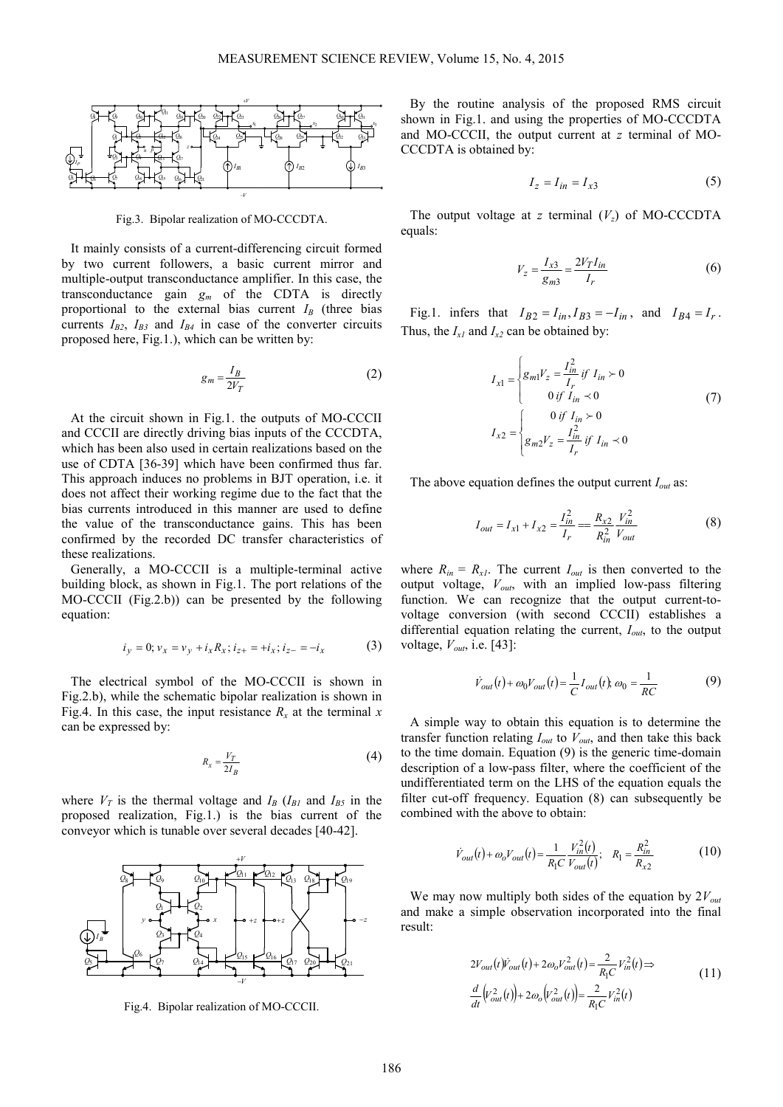

Fig.3. Bipolar realization of MO-CCCDTA.

It mainly consists of a current-differencing circuit formed by two current followers, a basic current mirror and multiple-output transconductance amplifier. In this case, the transconductance gain  $g_m$  of the CDTA is directly proportional to the external bias current  $I_B$  (three bias currents  $I_{B2}$ ,  $I_{B3}$  and  $I_{B4}$  in case of the converter circuits proposed here, Fig.1.), which can be written by:

$$
g_m = \frac{I_B}{2V_T} \tag{2}
$$

At the circuit shown in Fig.1. the outputs of MO-CCCII and CCCII are directly driving bias inputs of the CCCDTA, which has been also used in certain realizations based on the use of CDTA [36-39] which have been confirmed thus far. This approach induces no problems in BJT operation, i.e. it does not affect their working regime due to the fact that the bias currents introduced in this manner are used to define the value of the transconductance gains. This has been confirmed by the recorded DC transfer characteristics of these realizations.

Generally, a MO-CCCII is a multiple-terminal active building block, as shown in Fig.1. The port relations of the MO-CCCII (Fig.2.b)) can be presented by the following equation:

$$
i_y = 0; v_x = v_y + i_x R_x; i_{z+} = +i_x; i_{z-} = -i_x \tag{3}
$$

The electrical symbol of the MO-CCCII is shown in Fig.2.b), while the schematic bipolar realization is shown in Fig.4. In this case, the input resistance  $R_x$  at the terminal  $x$ can be expressed by:

$$
R_x = \frac{V_T}{2I_B} \tag{4}
$$

where  $V_T$  is the thermal voltage and  $I_B$  ( $I_{B1}$  and  $I_{B5}$  in the proposed realization, Fig.1.) is the bias current of the conveyor which is tunable over several decades [40-42].



Fig.4. Bipolar realization of MO-CCCII.

By the routine analysis of the proposed RMS circuit shown in Fig.1. and using the properties of MO-CCCDTA and MO-CCCII, the output current at *z* terminal of MO-CCCDTA is obtained by:

$$
I_z = I_{in} = I_{x3} \tag{5}
$$

The output voltage at *z* terminal  $(V<sub>z</sub>)$  of MO-CCCDTA equals:

$$
V_z = \frac{I_{x3}}{g_{m3}} = \frac{2V_T I_{in}}{I_r}
$$
 (6)

Fig.1. infers that  $I_{B2} = I_{in}$ ,  $I_{B3} = -I_{in}$ , and  $I_{B4} = I_r$ . Thus, the  $I_{x1}$  and  $I_{x2}$  can be obtained by:

$$
I_{x1} = \begin{cases} g_{m1}V_z = \frac{I_{in}^2}{I_r} \text{ if } I_{in} \succ 0\\ 0 \text{ if } I_{in} \prec 0\\ 0 \text{ if } I_{in} \succ 0 \end{cases}
$$
(7)  

$$
I_{x2} = \begin{cases} 0 \text{ if } I_{in} \succ 0\\ g_{m2}V_z = \frac{I_{in}^2}{I_r} \text{ if } I_{in} \prec 0 \end{cases}
$$

The above equation defines the output current *Iout* as:

$$
I_{out} = I_{x1} + I_{x2} = \frac{I_{in}^2}{I_r} = \frac{R_{x2}}{R_{in}^2} \frac{V_{in}^2}{V_{out}}
$$
(8)

where  $R_{in} = R_{xI}$ . The current  $I_{out}$  is then converted to the output voltage, *Vout*, with an implied low-pass filtering function. We can recognize that the output current-tovoltage conversion (with second CCCII) establishes a differential equation relating the current, *Iout*, to the output voltage, *Vout*, i.e. [43]:

$$
\dot{V}_{out}(t) + \omega_0 V_{out}(t) = \frac{1}{C} I_{out}(t), \omega_0 = \frac{1}{RC}
$$
 (9)

A simple way to obtain this equation is to determine the transfer function relating  $I_{out}$  to  $V_{out}$ , and then take this back to the time domain. Equation (9) is the generic time-domain description of a low-pass filter, where the coefficient of the undifferentiated term on the LHS of the equation equals the filter cut-off frequency. Equation (8) can subsequently be combined with the above to obtain:

$$
\dot{V}_{out}(t) + \omega_o V_{out}(t) = \frac{1}{R_1 C} \frac{V_{in}^2(t)}{V_{out}(t)}; \quad R_1 = \frac{R_{in}^2}{R_{x2}}
$$
(10)

We may now multiply both sides of the equation by 2*Vout* and make a simple observation incorporated into the final result:

$$
2V_{out}(t)\dot{V}_{out}(t) + 2\omega_o V_{out}^2(t) = \frac{2}{R_1C}V_{in}^2(t) \Rightarrow
$$
  
\n
$$
\frac{d}{dt}(V_{out}^2(t)) + 2\omega_o(V_{out}^2(t)) = \frac{2}{R_1C}V_{in}^2(t)
$$
\n(11)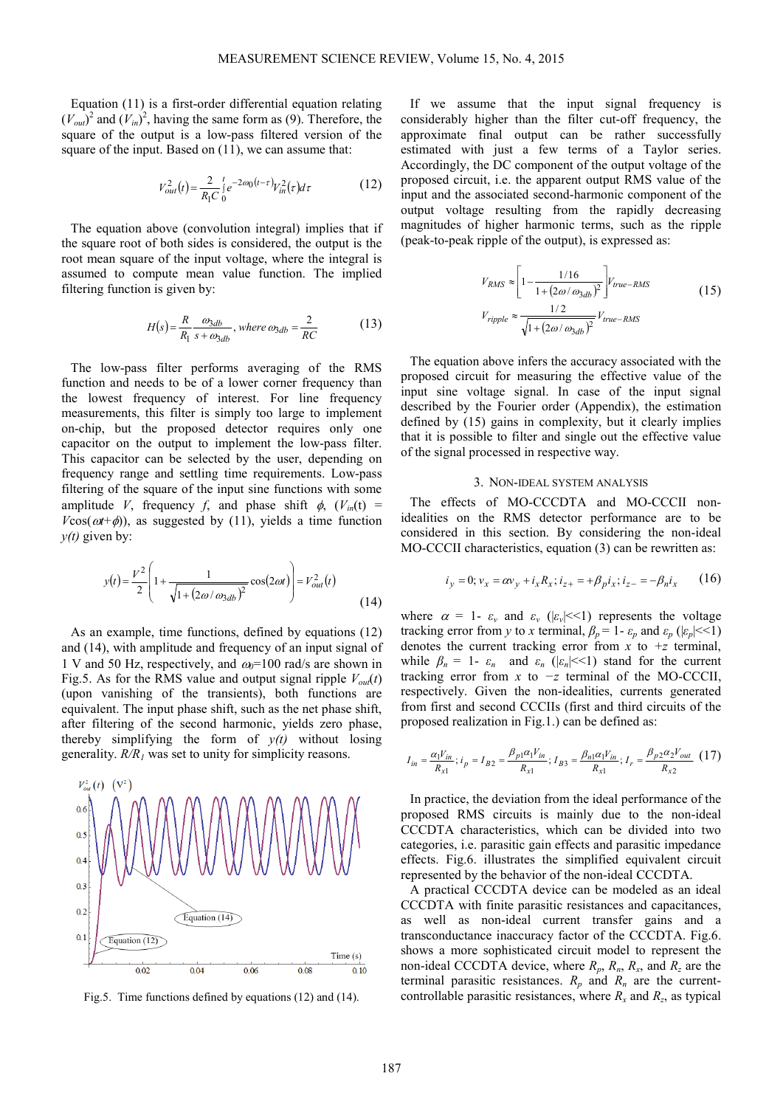Equation (11) is a first-order differential equation relating  $(V_{out})^2$  and  $(V_{in})^2$ , having the same form as (9). Therefore, the square of the output is a low-pass filtered version of the square of the input. Based on  $(11)$ , we can assume that:

$$
V_{out}^{2}(t) = \frac{2}{R_{1}C} \int_{0}^{t} e^{-2\omega_{0}(t-\tau)} V_{in}^{2}(\tau) d\tau
$$
 (12)

The equation above (convolution integral) implies that if the square root of both sides is considered, the output is the root mean square of the input voltage, where the integral is assumed to compute mean value function. The implied filtering function is given by:

$$
H(s) = \frac{R}{R_1} \frac{\omega_{3db}}{s + \omega_{3db}}, \text{ where } \omega_{3db} = \frac{2}{RC} \tag{13}
$$

The low-pass filter performs averaging of the RMS function and needs to be of a lower corner frequency than the lowest frequency of interest. For line frequency measurements, this filter is simply too large to implement on-chip, but the proposed detector requires only one capacitor on the output to implement the low-pass filter. This capacitor can be selected by the user, depending on frequency range and settling time requirements. Low-pass filtering of the square of the input sine functions with some amplitude *V*, frequency *f*, and phase shift  $\phi$ ,  $(V_{in}(t))$  =  $V\cos(\omega t + \phi)$ , as suggested by (11), yields a time function  $y(t)$  given by:

$$
y(t) = \frac{V^2}{2} \left( 1 + \frac{1}{\sqrt{1 + (2\omega/\omega_{3db})^2}} \cos(2\omega t) \right) = V_{out}^2(t)
$$
\n(14)

As an example, time functions, defined by equations (12) and (14), with amplitude and frequency of an input signal of 1 V and 50 Hz, respectively, and  $\omega_0$ =100 rad/s are shown in Fig.5. As for the RMS value and output signal ripple  $V_{out}(t)$ (upon vanishing of the transients), both functions are equivalent. The input phase shift, such as the net phase shift, after filtering of the second harmonic, yields zero phase, thereby simplifying the form of  $y(t)$  without losing generality. *R/R1* was set to unity for simplicity reasons.



Fig.5. Time functions defined by equations (12) and (14).

If we assume that the input signal frequency is considerably higher than the filter cut-off frequency, the approximate final output can be rather successfully estimated with just a few terms of a Taylor series. Accordingly, the DC component of the output voltage of the proposed circuit, i.e. the apparent output RMS value of the input and the associated second-harmonic component of the output voltage resulting from the rapidly decreasing magnitudes of higher harmonic terms, such as the ripple (peak-to-peak ripple of the output), is expressed as:

$$
V_{RMS} \approx \left[1 - \frac{1/16}{1 + (2\omega/\omega_{3db})^2}\right] V_{true-RMS}
$$
\n
$$
V_{ripple} \approx \frac{1/2}{\sqrt{1 + (2\omega/\omega_{3db})^2}} V_{true-RMS}
$$
\n(15)

The equation above infers the accuracy associated with the proposed circuit for measuring the effective value of the input sine voltage signal. In case of the input signal described by the Fourier order (Appendix), the estimation defined by (15) gains in complexity, but it clearly implies that it is possible to filter and single out the effective value of the signal processed in respective way.

#### 3. NON-IDEAL SYSTEM ANALYSIS

The effects of MO-CCCDTA and MO-CCCII nonidealities on the RMS detector performance are to be considered in this section. By considering the non-ideal MO-CCCII characteristics, equation (3) can be rewritten as:

$$
i_y = 0; v_x = \alpha v_y + i_x R_x; i_{z+} = +\beta_p i_x; i_{z-} = -\beta_n i_x \qquad (16)
$$

where  $\alpha = 1$ -  $\varepsilon_v$  and  $\varepsilon_v$  ( $|\varepsilon_v| \ll 1$ ) represents the voltage tracking error from *y* to *x* terminal,  $\beta_p = 1 - \varepsilon_p$  and  $\varepsilon_p$  ( $|\varepsilon_p| \ll 1$ ) denotes the current tracking error from  $\dot{x}$  to  $\dot{z}$  terminal, while  $\beta_n = 1 - \varepsilon_n$  and  $\varepsilon_n$  ( $|\varepsilon_n| \leq 1$ ) stand for the current tracking error from *x* to *−z* terminal of the MO-CCCII, respectively. Given the non-idealities, currents generated from first and second CCCIIs (first and third circuits of the proposed realization in Fig.1.) can be defined as:

$$
I_{in} = \frac{\alpha_1 V_{in}}{R_{x1}}; i_p = I_{B2} = \frac{\beta_{p1} \alpha_1 V_{in}}{R_{x1}}; I_{B3} = \frac{\beta_{n1} \alpha_1 V_{in}}{R_{x1}}; I_r = \frac{\beta_{p2} \alpha_2 V_{out}}{R_{x2}} (17)
$$

In practice, the deviation from the ideal performance of the proposed RMS circuits is mainly due to the non-ideal CCCDTA characteristics, which can be divided into two categories, i.e. parasitic gain effects and parasitic impedance effects. Fig.6. illustrates the simplified equivalent circuit represented by the behavior of the non-ideal CCCDTA.

A practical CCCDTA device can be modeled as an ideal CCCDTA with finite parasitic resistances and capacitances, as well as non-ideal current transfer gains and a transconductance inaccuracy factor of the CCCDTA. Fig.6. shows a more sophisticated circuit model to represent the non-ideal CCCDTA device, where  $R_p$ ,  $R_n$ ,  $R_x$ , and  $R_z$  are the terminal parasitic resistances.  $R_p$  and  $R_n$  are the currentcontrollable parasitic resistances, where  $R_x$  and  $R_z$ , as typical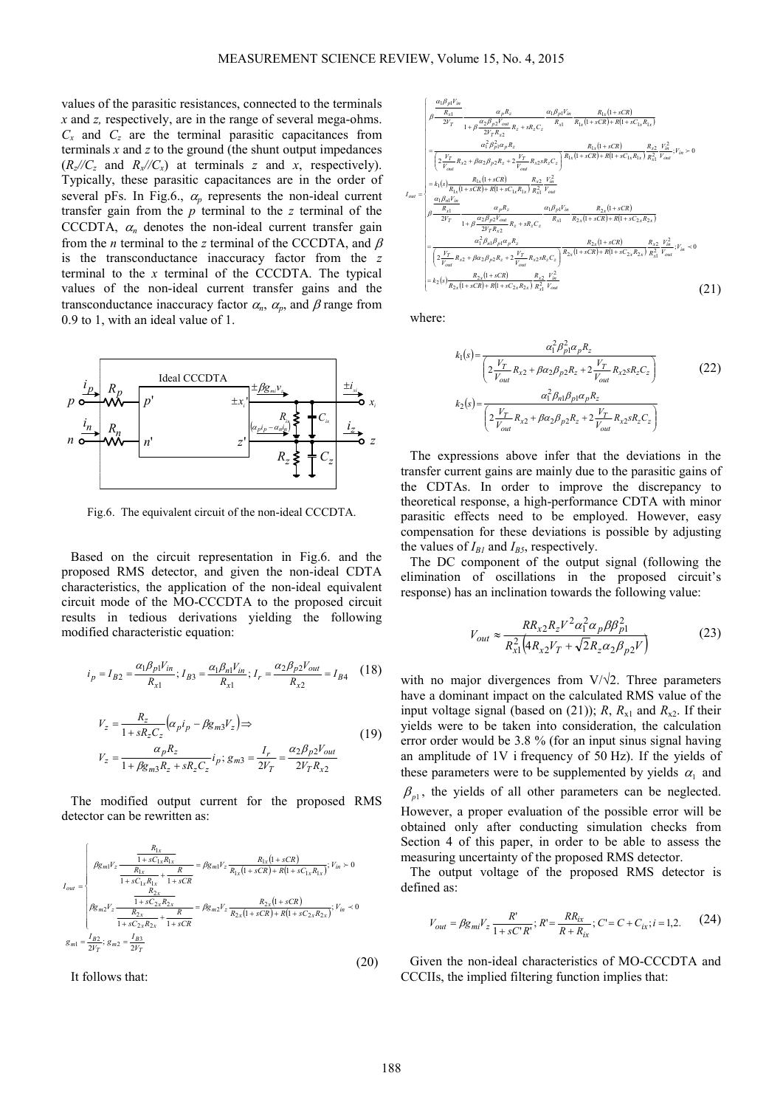values of the parasitic resistances, connected to the terminals *x* and *z,* respectively, are in the range of several mega-ohms.  $C_x$  and  $C_z$  are the terminal parasitic capacitances from terminals *x* and *z* to the ground (the shunt output impedances  $(R_z$ / $/C_z$  and  $R_x$ / $/C_x$ ) at terminals *z* and *x*, respectively). Typically, these parasitic capacitances are in the order of several pFs. In Fig.6.,  $\alpha_n$  represents the non-ideal current transfer gain from the *p* terminal to the *z* terminal of the CCCDTA,  $\alpha_n$  denotes the non-ideal current transfer gain from the *n* terminal to the *z* terminal of the CCCDTA, and β is the transconductance inaccuracy factor from the *z* terminal to the *x* terminal of the CCCDTA. The typical values of the non-ideal current transfer gains and the transconductance inaccuracy factor  $\alpha_n$ ,  $\alpha_p$ , and  $\beta$  range from 0.9 to 1, with an ideal value of 1.



Fig.6. The equivalent circuit of the non-ideal CCCDTA.

Based on the circuit representation in Fig.6. and the proposed RMS detector, and given the non-ideal CDTA characteristics, the application of the non-ideal equivalent circuit mode of the MO-CCCDTA to the proposed circuit results in tedious derivations yielding the following modified characteristic equation:

$$
i_p = I_{B2} = \frac{\alpha_1 \beta_{p1} V_{in}}{R_{x1}}; I_{B3} = \frac{\alpha_1 \beta_{n1} V_{in}}{R_{x1}}; I_r = \frac{\alpha_2 \beta_{p2} V_{out}}{R_{x2}} = I_{B4}
$$
 (18)

$$
V_z = \frac{R_z}{1 + sR_zC_z} (\alpha_p i_p - \beta g_{m3} V_z) \Rightarrow
$$
  
\n
$$
V_z = \frac{\alpha_p R_z}{1 + \beta g_{m3}R_z + sR_zC_z} i_p; g_{m3} = \frac{I_r}{2V_T} = \frac{\alpha_2 \beta_{p2} V_{out}}{2V_T R_{x2}}
$$
\n(19)

The modified output current for the proposed RMS detector can be rewritten as:

$$
I_{out} = \begin{cases} \beta g_{m1} V_z \frac{R_{1x}}{1 + sC_{1x}R_{1x}} = \beta g_{m1} V_z \frac{R_{1x}(1 + sCR)}{R_{1x}(1 + sCR) + R(1 + sC_{1x}R_{1x})}; V_{in} > 0\\ \beta g_{m2} V_z \frac{R_{2x}}{1 + sC_{2x}R_{2x}} + \frac{R}{1 + sCR} = \beta g_{m2} V_z \frac{R_{2x}(1 + sCR)}{R_{2x}(1 + sCR) + R(1 + sC_{2x}R_{2x})}; V_{in} < 0\\ \beta g_{m2} V_z \frac{R_{2x}}{1 + sC_{2x}R_{2x}} + \frac{R}{1 + sCR} = \beta g_{m2} V_z \frac{R_{2x}(1 + sCR)}{R_{2x}(1 + sCR) + R(1 + sC_{2x}R_{2x})}; V_{in} < 0\\ g_{m1} = \frac{I_{B2}}{2V_T}; g_{m2} = \frac{I_{B3}}{2V_T} \end{cases}
$$
(20)

It follows that:

$$
I_{out} = \n\begin{bmatrix}\n\frac{\alpha_{1}\beta_{p1}V_{in}}{R_{x1}} & \alpha_{p}R_{z} & \alpha_{1}\beta_{p1}V_{in} & R_{1x}(1+sCR) \\
\frac{\alpha_{1}\beta_{p1}V_{out}}{2V_{T}R_{x2}} & R_{z}+sR_{z}C_{z} & R_{x1} & R_{1x}(1+sCR)+R(1+sC_{1x}R_{1x})\n\end{bmatrix} \\
= \n\begin{bmatrix}\n\frac{\alpha_{1}^{2}\beta_{p1}}{V_{out}}\frac{\alpha_{1}^{2}\beta_{p2}V_{out}}{\alpha_{1}^{2}}\frac{\beta_{p1}}{V_{out}}\frac{\beta_{x1}}{\alpha_{2}^{2}}\frac{\gamma_{1}}{\gamma_{out}}\frac{\beta_{x2}}{\gamma_{1}}\frac{\gamma_{1}}{\gamma_{1}}\frac{\gamma_{1}}{\gamma_{1}}\gamma_{1}}\gamma_{1}^{2} + \beta\alpha_{2}\beta_{p2}R_{z} + 2\frac{V_{T}^{2}}{V_{out}}\frac{\gamma_{1}}{\gamma_{out}}\frac{\beta_{x2}V_{in}^{2}}{\gamma_{out}}\frac{\beta_{x1}}{\gamma_{1}}\frac{\gamma_{1}}{\gamma_{1}}\gamma_{1}^{2} + \beta\alpha_{2}\beta_{p2}R_{z} + 2\frac{V_{T}^{2}}{V_{out}}\frac{\beta_{x2}V_{in}^{2}}{\gamma_{1}}\frac{\gamma_{1}}{\gamma_{1}}\gamma_{1}^{2} + \beta\alpha_{2}\beta_{p2}R_{z} + 2\frac{V_{T}^{2}}{V_{out}}\frac{\gamma_{1}}{\gamma_{1}}\gamma_{1}^{2} + \beta\alpha_{2}\beta_{2}\gamma_{1}^{2} + \beta\alpha_{2}\beta_{2}\gamma_{1}^{2} + \beta\alpha_{2}\beta_{2}\gamma_{1}^{2} + \beta\alpha_{2}\beta_{2}\gamma_{1}^{2} + \beta\alpha_{2}\beta_{2}\gamma_{1}^{2} + \beta\alpha_{2}\beta_{2}\gamma_{1}^{2} + \beta\alpha_{2}\beta_{2}\gamma_{1}^{2} + \beta\alpha_{2}\beta_{2}\gamma_{1}^{2} + \beta\alpha_{2}\beta_{2}\gamma_{1}^{2} + \beta\alpha_{2}\beta_{2}\gamma_{1}^{2} + \beta\alpha_{2}\beta_{2}\gamma_{1}^{2} + \beta\alpha_{2}\beta_{2}\gamma_{1}^{2}
$$

where:

$$
k_1(s) = \frac{\alpha_1^2 \beta_{p1}^2 \alpha_p R_z}{\left(2 \frac{V_T}{V_{out}} R_{x2} + \beta \alpha_2 \beta_{p2} R_z + 2 \frac{V_T}{V_{out}} R_{x2} s R_z C_z\right)}
$$
\n
$$
k_2(s) = \frac{\alpha_1^2 \beta_{n1} \beta_{p1} \alpha_p R_z}{\left(2 \frac{V_T}{V_{out}} R_{x2} + \beta \alpha_2 \beta_{p2} R_z + 2 \frac{V_T}{V_{out}} R_{x2} s R_z C_z\right)}
$$
\n(22)

The expressions above infer that the deviations in the transfer current gains are mainly due to the parasitic gains of the CDTAs. In order to improve the discrepancy to theoretical response, a high-performance CDTA with minor parasitic effects need to be employed. However, easy compensation for these deviations is possible by adjusting the values of  $I_{BI}$  and  $I_{BS}$ , respectively.

The DC component of the output signal (following the elimination of oscillations in the proposed circuit's response) has an inclination towards the following value:

$$
V_{out} \approx \frac{RR_{x2}R_{z}V^{2}\alpha_{1}^{2}\alpha_{p}\beta\beta_{p1}^{2}}{R_{x1}^{2}\left(4R_{x2}V_{T} + \sqrt{2}R_{z}\alpha_{2}\beta_{p2}V\right)}
$$
(23)

with no major divergences from  $V/\sqrt{2}$ . Three parameters have a dominant impact on the calculated RMS value of the input voltage signal (based on (21)); *R*,  $R_{x1}$  and  $R_{x2}$ . If their yields were to be taken into consideration, the calculation error order would be 3.8 % (for an input sinus signal having an amplitude of 1V i frequency of 50 Hz). If the yields of these parameters were to be supplemented by yields  $\alpha_1$  and  $\beta_{p1}$ , the yields of all other parameters can be neglected. However, a proper evaluation of the possible error will be

obtained only after conducting simulation checks from Section 4 of this paper, in order to be able to assess the measuring uncertainty of the proposed RMS detector.

The output voltage of the proposed RMS detector is defined as:

$$
V_{out} = \beta g_{mi} V_z \frac{R'}{1 + sC'R'}; R' = \frac{R R_{ix}}{R + R_{ix}}; C' = C + C_{ix}; i = 1, 2.
$$
 (24)

Given the non-ideal characteristics of MO-CCCDTA and CCCIIs, the implied filtering function implies that: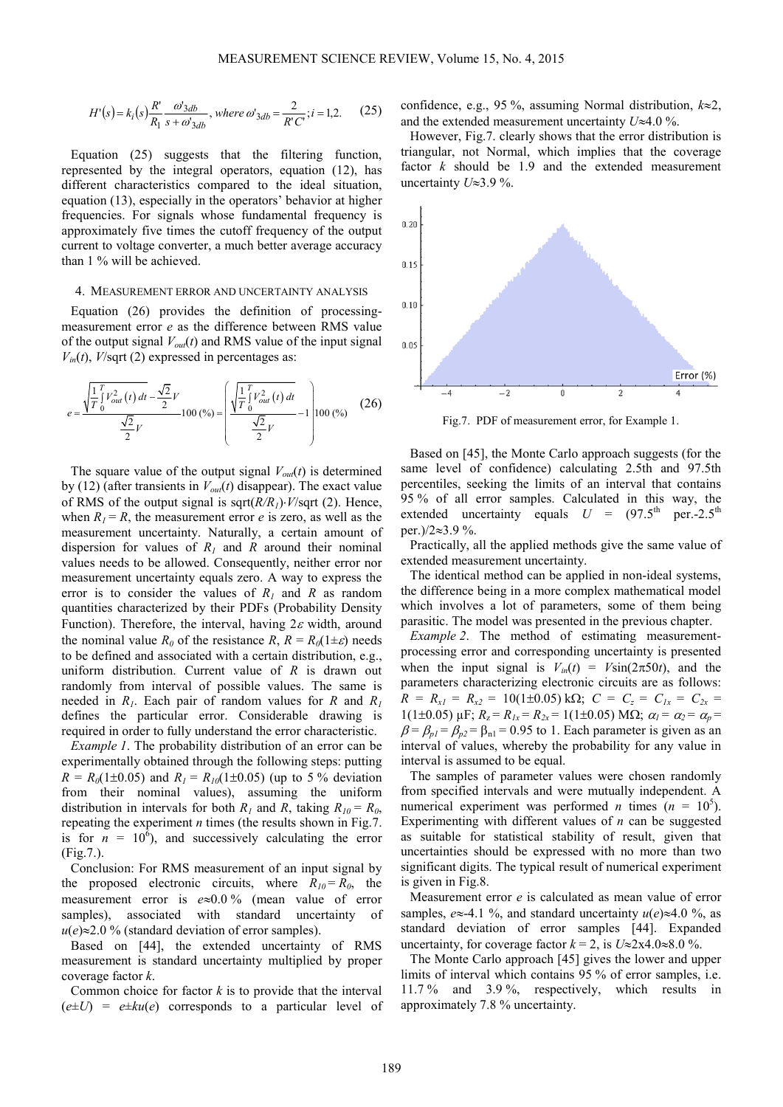$$
H'(s) = k_i(s) \frac{R'}{R_1} \frac{\omega_{3db}^s}{s + \omega_{3db}^s}, \text{ where } \omega_{3db}^s = \frac{2}{R'C'}; i = 1, 2. \tag{25}
$$

Equation (25) suggests that the filtering function, represented by the integral operators, equation (12), has different characteristics compared to the ideal situation, equation (13), especially in the operators' behavior at higher frequencies. For signals whose fundamental frequency is approximately five times the cutoff frequency of the output current to voltage converter, a much better average accuracy than 1 % will be achieved.

#### 4. MEASUREMENT ERROR AND UNCERTAINTY ANALYSIS

Equation (26) provides the definition of processingmeasurement error *e* as the difference between RMS value of the output signal  $V_{out}(t)$  and RMS value of the input signal  $V_{in}(t)$ , *V*/sqrt (2) expressed in percentages as:

$$
e = \frac{\sqrt{\frac{1}{T}} \int_{0}^{T} V_{out}^{2}(t) dt - \frac{\sqrt{2}}{2} V}{\frac{\sqrt{2}}{2} V} 100\ (\%)\n =\n \left( \frac{\sqrt{\frac{1}{T}} \int_{0}^{T} V_{out}^{2}(t) dt}{\frac{\sqrt{2}}{2} V} - 1 \right) 100\ (\%)\n \tag{26}
$$

The square value of the output signal  $V_{out}(t)$  is determined by (12) (after transients in  $V_{out}(t)$  disappear). The exact value of RMS of the output signal is sqrt(*R/R1*)⋅*V*/sqrt (2). Hence, when  $R_1 = R$ , the measurement error *e* is zero, as well as the measurement uncertainty. Naturally, a certain amount of dispersion for values of  $R_1$  and  $R$  around their nominal values needs to be allowed. Consequently, neither error nor measurement uncertainty equals zero. A way to express the error is to consider the values of  $R_I$  and  $R$  as random quantities characterized by their PDFs (Probability Density Function). Therefore, the interval, having  $2\varepsilon$  width, around the nominal value  $R_0$  of the resistance  $R$ ,  $R = R_0(1 \pm \varepsilon)$  needs to be defined and associated with a certain distribution, e.g., uniform distribution. Current value of *R* is drawn out randomly from interval of possible values. The same is needed in  $R_1$ . Each pair of random values for  $R$  and  $R_1$ defines the particular error. Considerable drawing is required in order to fully understand the error characteristic.

*Example 1*. The probability distribution of an error can be experimentally obtained through the following steps: putting  $R = R_0(1 \pm 0.05)$  and  $R_1 = R_{10}(1 \pm 0.05)$  (up to 5 % deviation from their nominal values), assuming the uniform distribution in intervals for both  $R_1$  and  $R_2$ , taking  $R_{10} = R_0$ , repeating the experiment *n* times (the results shown in Fig.7. is for  $n = 10^6$ ), and successively calculating the error (Fig.7.).

Conclusion: For RMS measurement of an input signal by the proposed electronic circuits, where  $R_{10} = R_0$ , the measurement error is *e*≈0.0 % (mean value of error samples), associated with standard uncertainty of  $u(e) \approx 2.0$  % (standard deviation of error samples).

Based on [44], the extended uncertainty of RMS measurement is standard uncertainty multiplied by proper coverage factor *k*.

Common choice for factor *k* is to provide that the interval  $(e \pm U)$  =  $e \pm ku(e)$  corresponds to a particular level of confidence, e.g., 95 %, assuming Normal distribution, *k*≈2, and the extended measurement uncertainty *U*≈4.0 %.

However, Fig.7. clearly shows that the error distribution is triangular, not Normal, which implies that the coverage factor *k* should be 1.9 and the extended measurement uncertainty *U*≈3.9 %.



Fig.7. PDF of measurement error, for Example 1.

Based on [45], the Monte Carlo approach suggests (for the same level of confidence) calculating 2.5th and 97.5th percentiles, seeking the limits of an interval that contains 95 % of all error samples. Calculated in this way, the extended uncertainty equals  $U = (97.5^{\text{th}} \text{ per.} - 2.5^{\text{th}})$ per.)/2≈3.9 %.

Practically, all the applied methods give the same value of extended measurement uncertainty.

The identical method can be applied in non-ideal systems, the difference being in a more complex mathematical model which involves a lot of parameters, some of them being parasitic. The model was presented in the previous chapter.

*Example 2*. The method of estimating measurementprocessing error and corresponding uncertainty is presented when the input signal is  $V_{in}(t) = V\sin(2\pi 50t)$ , and the parameters characterizing electronic circuits are as follows:  $R = R_{x1} = R_{x2} = 10(1 \pm 0.05) \text{ k}\Omega$ ;  $C = C_z = C_{1x} = C_{2x}$  $1(1\pm0.05)$   $\mu$ F;  $R_z = R_{1x} = R_{2x} = 1(1\pm0.05)$  MQ;  $\alpha_l = \alpha_2 = \alpha_p =$  $\beta = \beta_{p1} = \beta_{p2} = \beta_{n1} = 0.95$  to 1. Each parameter is given as an interval of values, whereby the probability for any value in interval is assumed to be equal.

The samples of parameter values were chosen randomly from specified intervals and were mutually independent. A numerical experiment was performed *n* times  $(n = 10^5)$ . Experimenting with different values of *n* can be suggested as suitable for statistical stability of result, given that uncertainties should be expressed with no more than two significant digits. The typical result of numerical experiment is given in Fig.8.

Measurement error *e* is calculated as mean value of error samples,  $e \approx -4.1$  %, and standard uncertainty  $u(e) \approx 4.0$  %, as standard deviation of error samples [44]. Expanded uncertainty, for coverage factor  $k = 2$ , is  $U \approx 2 \times 4.0 \approx 8.0 \%$ .

The Monte Carlo approach [45] gives the lower and upper limits of interval which contains 95 % of error samples, i.e. 11.7 % and 3.9 %, respectively, which results in approximately 7.8 % uncertainty.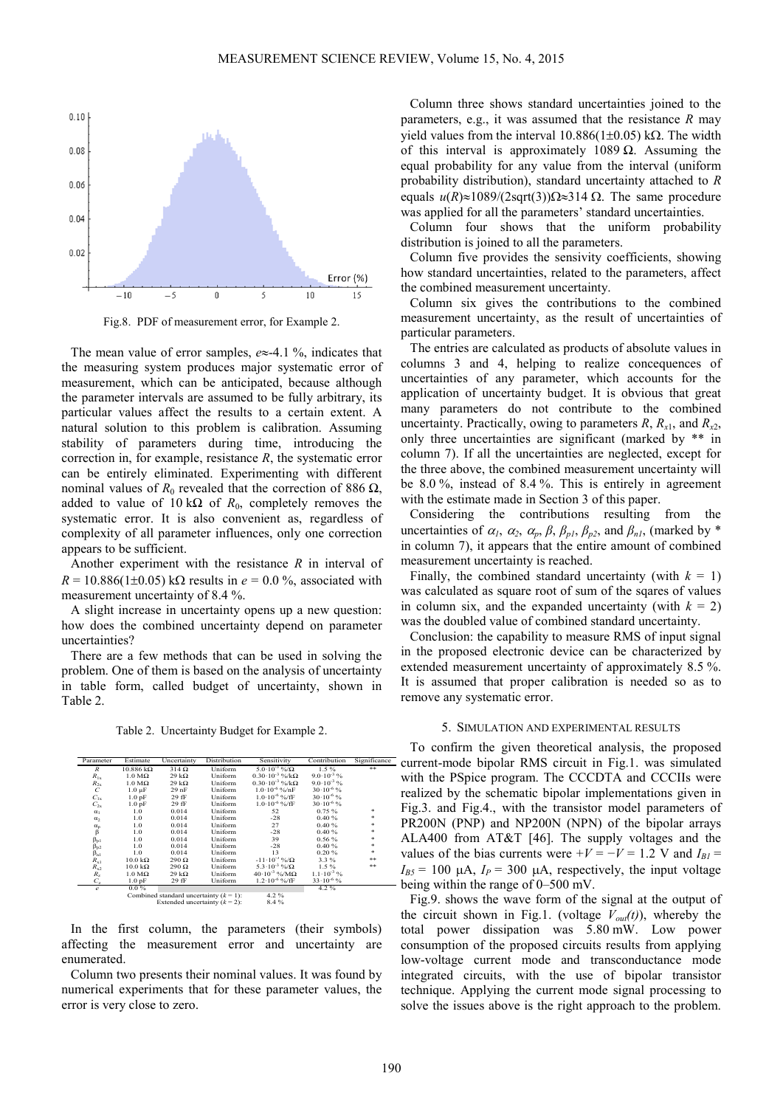

Fig.8. PDF of measurement error, for Example 2.

The mean value of error samples, *e*≈-4.1 %, indicates that the measuring system produces major systematic error of measurement, which can be anticipated, because although the parameter intervals are assumed to be fully arbitrary, its particular values affect the results to a certain extent. A natural solution to this problem is calibration. Assuming stability of parameters during time, introducing the correction in, for example, resistance *R*, the systematic error can be entirely eliminated. Experimenting with different nominal values of  $R_0$  revealed that the correction of 886 Ω, added to value of 10 k $\Omega$  of  $R_0$ , completely removes the systematic error. It is also convenient as, regardless of complexity of all parameter influences, only one correction appears to be sufficient.

Another experiment with the resistance *R* in interval of  $R = 10.886(1\pm0.05)$  kΩ results in  $e = 0.0$ %, associated with measurement uncertainty of 8.4 %.

A slight increase in uncertainty opens up a new question: how does the combined uncertainty depend on parameter uncertainties?

There are a few methods that can be used in solving the problem. One of them is based on the analysis of uncertainty in table form, called budget of uncertainty, shown in Table 2.

Table 2. Uncertainty Budget for Example 2.

| Parameter             | Estimate                 | Uncertainty                               | Distribution | Sensitivity                     | Contribution          | Significance |
|-----------------------|--------------------------|-------------------------------------------|--------------|---------------------------------|-----------------------|--------------|
| $\boldsymbol{R}$      | $10.886 \text{ k}\Omega$ | $314\Omega$                               | Uniform      | $5.0 \cdot 10^{-3}$ %/ $\Omega$ | $1.5\%$               | 寄            |
| $R_{1x}$              | $1.0 M\Omega$            | $29 k\Omega$                              | Uniform      | $0.30 \cdot 10^{-3}$ %/kO.      | $9.0 \cdot 10^{-3}$ % |              |
| $R_{2x}$              | $1.0 M\Omega$            | $29 k\Omega$                              | Uniform      | $0.30 \cdot 10^{-3}$ %/kΩ       | $9.0 \cdot 10^{-3}$ % |              |
| $\cal C$              | $1.0 \mu F$              | 29 <sub>nF</sub>                          | Uniform      | $1.0 \cdot 10^{-6}$ %/nF        | $30 \cdot 10^{-6}$ %  |              |
| $C_{1x}$              | 1.0 <sub>pF</sub>        | 29 fF                                     | Uniform      | $1.0 \cdot 10^{-6}$ %/fF        | $30 \cdot 10^{-6}$ %  |              |
| $C_{2x}$              | 1.0 <sub>pF</sub>        | 29 fF                                     | Uniform      | $1.0 \cdot 10^{-6}$ %/fF        | $30 \cdot 10^{-6}$ %  |              |
| $\alpha_1$            | 1.0                      | 0.014                                     | Uniform      | 52                              | 0.75%                 | 咖            |
| $\alpha_2$            | 1.0                      | 0.014                                     | Uniform      | $-28$                           | 0.40%                 |              |
|                       | 1.0                      | 0.014                                     | Uniform      | 27                              | 0.40%                 |              |
| $_{\beta}^{\alpha_p}$ | 1.0                      | 0.014                                     | Uniform      | $-28$                           | 0.40%                 | ŵ            |
| $\beta_{p1}$          | 1.0                      | 0.014                                     | Uniform      | 39                              | 0.56%                 |              |
| $\beta_{p2}$          | 1.0                      | 0.014                                     | Uniform      | $-28$                           | 0.40%                 |              |
| $\beta_{n1}$          | 1.0                      | 0.014                                     | Uniform      | 13                              | 0.20%                 | ŵ            |
| $R_{x1}$              | $10.0 \text{ k}\Omega$   | $290 \Omega$                              | Uniform      | $-11 \cdot 10^{-3}$ %/ $\Omega$ | $3.3\%$               | ***          |
| $R_{x2}$              | $10.0 \text{ k}\Omega$   | $290 \Omega$                              | Uniform      | 5.3 $\cdot 10^{-3}$ %/ $\Omega$ | $1.5\%$               | ※※           |
| $R_{z}$               | $1.0 M\Omega$            | 29 k $\Omega$                             | Uniform      | $40.10^{-3}$ %/M $\Omega$       | $1.1 \cdot 10^{-3}$ % |              |
| $C_{\rm z}$           | 1.0 <sub>pF</sub>        | 29 fF                                     | Uniform      | $1.2 \cdot 10^{-6}$ %/fF        | $33 \cdot 10^{-6}$ %  |              |
| $\epsilon$            | $0.0\%$                  |                                           |              |                                 | 4.2%                  |              |
|                       |                          | Combined standard uncertainty $(k = 1)$ : |              |                                 |                       |              |
|                       |                          | Extended uncertainty $(k = 2)$ :          |              | 8.4%                            |                       |              |

In the first column, the parameters (their symbols) affecting the measurement error and uncertainty are enumerated.

Column two presents their nominal values. It was found by numerical experiments that for these parameter values, the error is very close to zero.

Column three shows standard uncertainties joined to the parameters, e.g., it was assumed that the resistance *R* may yield values from the interval 10.886(1±0.05) kΩ. The width of this interval is approximately 1089  $\Omega$ . Assuming the equal probability for any value from the interval (uniform probability distribution), standard uncertainty attached to *R* equals  $u(R) \approx 1089/(2\text{sqrt}(3))\Omega \approx 314 \Omega$ . The same procedure was applied for all the parameters' standard uncertainties.

Column four shows that the uniform probability distribution is joined to all the parameters.

Column five provides the sensivity coefficients, showing how standard uncertainties, related to the parameters, affect the combined measurement uncertainty.

Column six gives the contributions to the combined measurement uncertainty, as the result of uncertainties of particular parameters.

The entries are calculated as products of absolute values in columns 3 and 4, helping to realize concequences of uncertainties of any parameter, which accounts for the application of uncertainty budget. It is obvious that great many parameters do not contribute to the combined uncertainty. Practically, owing to parameters  $R$ ,  $R$ <sub>*x*1</sub>, and  $R$ <sub>*x*2</sub>, only three uncertainties are significant (marked by \*\* in column 7). If all the uncertainties are neglected, except for the three above, the combined measurement uncertainty will be 8.0 %, instead of 8.4 %. This is entirely in agreement with the estimate made in Section 3 of this paper.

Considering the contributions resulting from the uncertainties of  $\alpha_1$ ,  $\alpha_2$ ,  $\alpha_p$ ,  $\beta$ ,  $\beta_{p1}$ ,  $\beta_{p2}$ , and  $\beta_{n1}$ , (marked by \* in column 7), it appears that the entire amount of combined measurement uncertainty is reached.

Finally, the combined standard uncertainty (with  $k = 1$ ) was calculated as square root of sum of the sqares of values in column six, and the expanded uncertainty (with  $k = 2$ ) was the doubled value of combined standard uncertainty.

Conclusion: the capability to measure RMS of input signal in the proposed electronic device can be characterized by extended measurement uncertainty of approximately 8.5 %. It is assumed that proper calibration is needed so as to remove any systematic error.

# 5. SIMULATION AND EXPERIMENTAL RESULTS

To confirm the given theoretical analysis, the proposed current-mode bipolar RMS circuit in Fig.1. was simulated with the PSpice program. The CCCDTA and CCCIIs were realized by the schematic bipolar implementations given in Fig.3. and Fig.4., with the transistor model parameters of PR200N (PNP) and NP200N (NPN) of the bipolar arrays ALA400 from AT&T [46]. The supply voltages and the values of the bias currents were  $+V = -V = 1.2$  V and  $I_{BI} =$  $I_{\beta 5}$  = 100  $\mu$ A,  $I_P$  = 300  $\mu$ A, respectively, the input voltage being within the range of 0–500 mV.

Fig.9. shows the wave form of the signal at the output of the circuit shown in Fig.1. (voltage  $V_{out}(t)$ ), whereby the total power dissipation was 5.80 mW. Low power consumption of the proposed circuits results from applying low-voltage current mode and transconductance mode integrated circuits, with the use of bipolar transistor technique. Applying the current mode signal processing to solve the issues above is the right approach to the problem.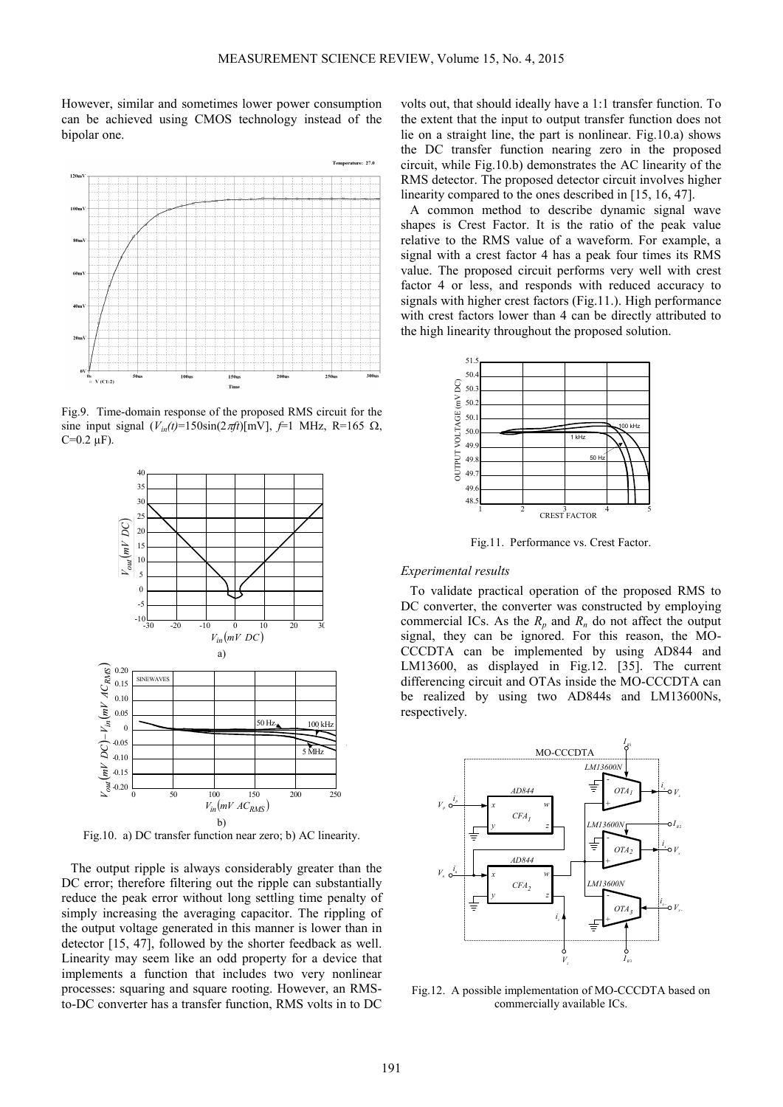However, similar and sometimes lower power consumption can be achieved using CMOS technology instead of the bipolar one.



Fig.9. Time-domain response of the proposed RMS circuit for the sine input signal  $(V_{in}(t)=150\sin(2\pi ft)[mV], f=1$  MHz, R=165  $\Omega$ ,  $C=0.2 \mu F$ ).



Fig.10. a) DC transfer function near zero; b) AC linearity.

The output ripple is always considerably greater than the DC error; therefore filtering out the ripple can substantially reduce the peak error without long settling time penalty of simply increasing the averaging capacitor. The rippling of the output voltage generated in this manner is lower than in detector [15, 47], followed by the shorter feedback as well. Linearity may seem like an odd property for a device that implements a function that includes two very nonlinear processes: squaring and square rooting. However, an RMSto-DC converter has a transfer function, RMS volts in to DC

volts out, that should ideally have a 1:1 transfer function. To the extent that the input to output transfer function does not lie on a straight line, the part is nonlinear. Fig.10.a) shows the DC transfer function nearing zero in the proposed circuit, while Fig.10.b) demonstrates the AC linearity of the RMS detector. The proposed detector circuit involves higher linearity compared to the ones described in [15, 16, 47].

A common method to describe dynamic signal wave shapes is Crest Factor. It is the ratio of the peak value relative to the RMS value of a waveform. For example, a signal with a crest factor 4 has a peak four times its RMS value. The proposed circuit performs very well with crest factor 4 or less, and responds with reduced accuracy to signals with higher crest factors (Fig.11.). High performance with crest factors lower than 4 can be directly attributed to the high linearity throughout the proposed solution.



Fig.11. Performance vs. Crest Factor.

# *Experimental results*

To validate practical operation of the proposed RMS to DC converter, the converter was constructed by employing commercial ICs. As the  $R_p$  and  $R_n$  do not affect the output signal, they can be ignored. For this reason, the MO-CCCDTA can be implemented by using AD844 and LM13600, as displayed in Fig.12. [35]. The current differencing circuit and OTAs inside the MO-CCCDTA can be realized by using two AD844s and LM13600Ns, respectively.



Fig.12. A possible implementation of MO-CCCDTA based on commercially available ICs.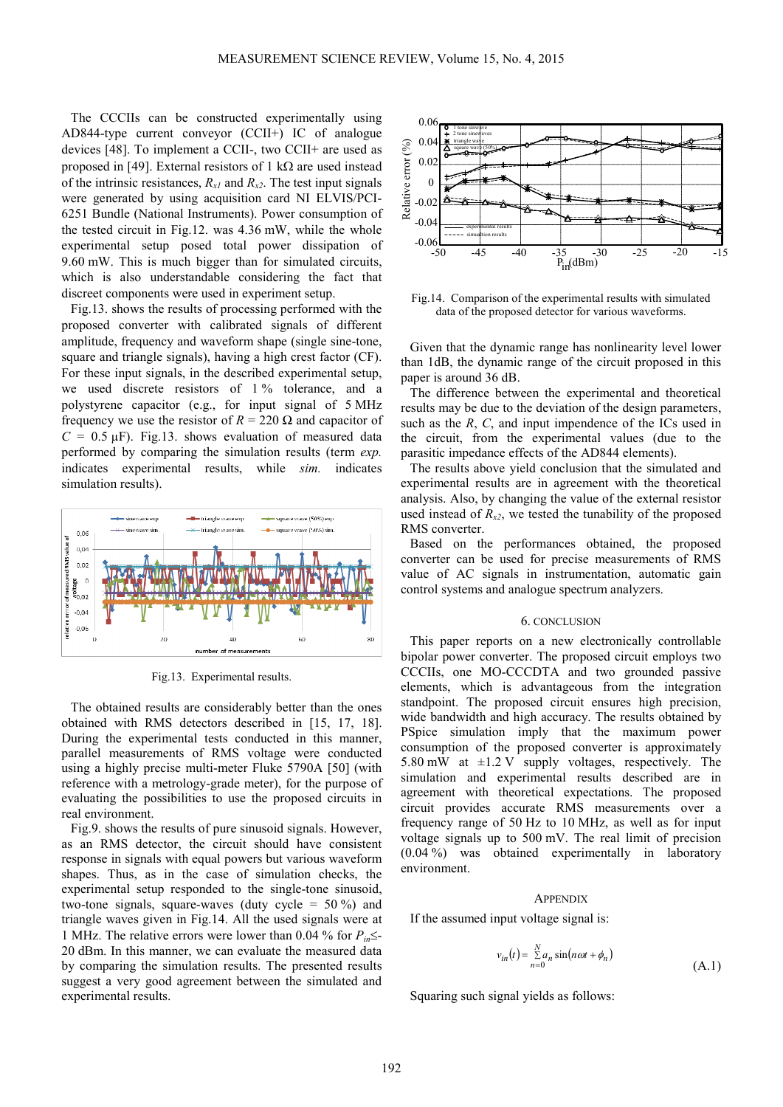The CCCIIs can be constructed experimentally using AD844-type current conveyor (CCII+) IC of analogue devices [48]. To implement a CCII-, two CCII+ are used as proposed in [49]. External resistors of 1 kΩ are used instead of the intrinsic resistances,  $R_{x1}$  and  $R_{x2}$ . The test input signals were generated by using acquisition card NI ELVIS/PCI-6251 Bundle (National Instruments). Power consumption of the tested circuit in Fig.12. was 4.36 mW, while the whole experimental setup posed total power dissipation of 9.60 mW. This is much bigger than for simulated circuits, which is also understandable considering the fact that discreet components were used in experiment setup.

Fig.13. shows the results of processing performed with the proposed converter with calibrated signals of different amplitude, frequency and waveform shape (single sine-tone, square and triangle signals), having a high crest factor (CF). For these input signals, in the described experimental setup, we used discrete resistors of 1% tolerance, and a polystyrene capacitor (e.g., for input signal of 5 MHz frequency we use the resistor of  $R = 220 \Omega$  and capacitor of  $C = 0.5 \mu F$ ). Fig.13. shows evaluation of measured data performed by comparing the simulation results (term *exp.* indicates experimental results, while *sim.* indicates simulation results).



Fig.13. Experimental results.

The obtained results are considerably better than the ones obtained with RMS detectors described in [15, 17, 18]. During the experimental tests conducted in this manner, parallel measurements of RMS voltage were conducted using a highly precise multi-meter Fluke 5790A [50] (with reference with a metrology-grade meter), for the purpose of evaluating the possibilities to use the proposed circuits in real environment.

Fig.9. shows the results of pure sinusoid signals. However, as an RMS detector, the circuit should have consistent response in signals with equal powers but various waveform shapes. Thus, as in the case of simulation checks, the experimental setup responded to the single-tone sinusoid, two-tone signals, square-waves (duty cycle =  $50\%$ ) and triangle waves given in Fig.14. All the used signals were at 1 MHz. The relative errors were lower than 0.04 % for  $P_{in} \leq$ 20 dBm. In this manner, we can evaluate the measured data by comparing the simulation results. The presented results suggest a very good agreement between the simulated and experimental results.



Fig.14. Comparison of the experimental results with simulated data of the proposed detector for various waveforms.

Given that the dynamic range has nonlinearity level lower than 1dB, the dynamic range of the circuit proposed in this paper is around 36 dB.

The difference between the experimental and theoretical results may be due to the deviation of the design parameters, such as the *R*, *C*, and input impendence of the ICs used in the circuit, from the experimental values (due to the parasitic impedance effects of the AD844 elements).

The results above yield conclusion that the simulated and experimental results are in agreement with the theoretical analysis. Also, by changing the value of the external resistor used instead of  $R_{x2}$ , we tested the tunability of the proposed RMS converter.

Based on the performances obtained, the proposed converter can be used for precise measurements of RMS value of AC signals in instrumentation, automatic gain control systems and analogue spectrum analyzers.

#### 6. CONCLUSION

This paper reports on a new electronically controllable bipolar power converter. The proposed circuit employs two CCCIIs, one MO-CCCDTA and two grounded passive elements, which is advantageous from the integration standpoint. The proposed circuit ensures high precision, wide bandwidth and high accuracy. The results obtained by PSpice simulation imply that the maximum power consumption of the proposed converter is approximately 5.80 mW at  $\pm$ 1.2 V supply voltages, respectively. The simulation and experimental results described are in agreement with theoretical expectations. The proposed circuit provides accurate RMS measurements over a frequency range of 50 Hz to 10 MHz, as well as for input voltage signals up to 500 mV. The real limit of precision (0.04 %) was obtained experimentally in laboratory environment.

#### **APPENDIX**

If the assumed input voltage signal is:

$$
v_{in}(t) = \sum_{n=0}^{N} a_n \sin(n\omega t + \phi_n)
$$
\n(A.1)

Squaring such signal yields as follows: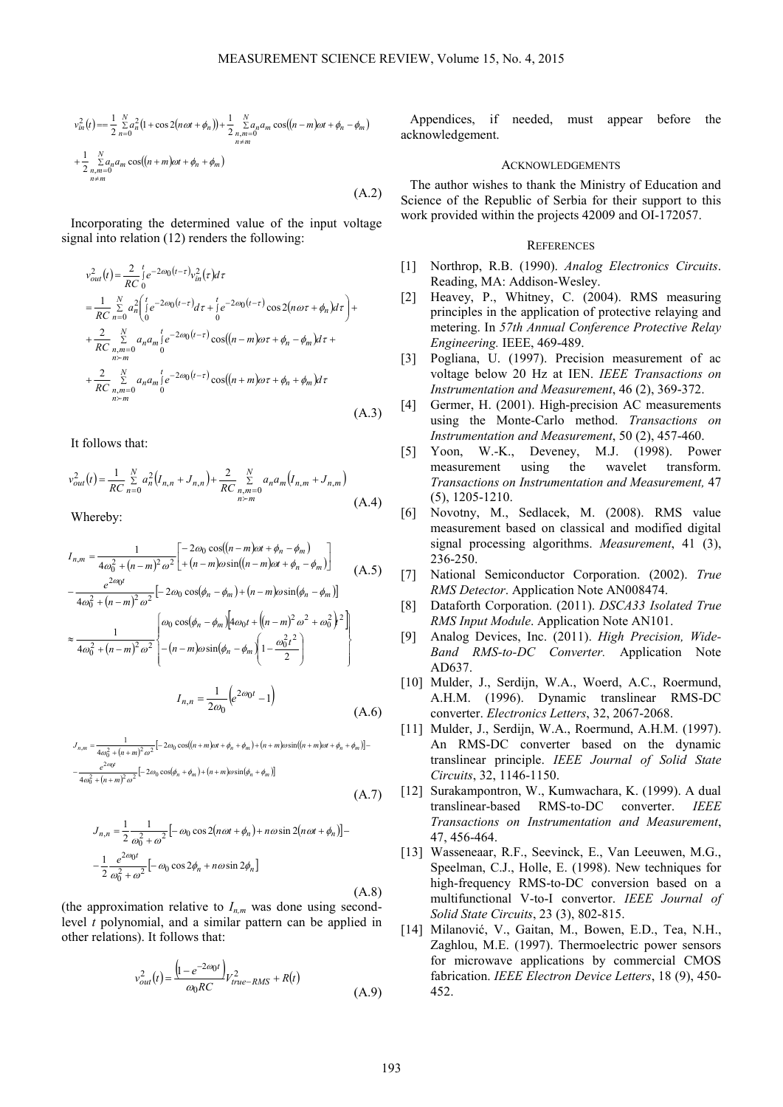$$
v_m^2(t) = \frac{1}{2} \sum_{n=0}^{N} a_n^2 (1 + \cos 2(n\omega t + \phi_n)) + \frac{1}{2} \sum_{\substack{n,m=0 \ n \neq m}}^{N} a_n a_m \cos((n-m)\omega t + \phi_n - \phi_m)
$$
  
+ 
$$
\frac{1}{2} \sum_{\substack{n,m=0 \ n \neq m}}^{N} a_n a_m \cos((n+m)\omega t + \phi_n + \phi_m)
$$
  

$$
(A.2)
$$

Incorporating the determined value of the input voltage signal into relation (12) renders the following:

$$
v_{out}^{2}(t) = \frac{2}{RC} \int_{0}^{t} e^{-2\omega_{0}(t-\tau)} v_{in}^{2}(\tau) d\tau
$$
  
\n
$$
= \frac{1}{RC} \sum_{n=0}^{N} a_{n}^{2} \int_{0}^{t} e^{-2\omega_{0}(t-\tau)} d\tau + \int_{0}^{t} e^{-2\omega_{0}(t-\tau)} \cos 2(n\omega\tau + \phi_{n}) d\tau + \frac{2}{RC} \sum_{\substack{n,m=0 \ n>m}}^{N} a_{n} a_{m} \int_{0}^{t} e^{-2\omega_{0}(t-\tau)} \cos((n-m)\omega\tau + \phi_{n} - \phi_{m}) d\tau + \frac{2}{RC} \sum_{\substack{n,m=0 \ n>m}}^{N} a_{n} a_{m} \int_{0}^{t} e^{-2\omega_{0}(t-\tau)} \cos((n+m)\omega\tau + \phi_{n} + \phi_{m}) d\tau
$$
  
\n
$$
+ \frac{2}{RC} \sum_{\substack{n,m=0 \ n>m}}^{N} a_{n} a_{m} \int_{0}^{t} e^{-2\omega_{0}(t-\tau)} \cos((n+m)\omega\tau + \phi_{n} + \phi_{m}) d\tau
$$
  
\n(A 3)

It follows that:

$$
v_{out}^{2}(t) = \frac{1}{RC} \sum_{n=0}^{N} a_{n}^{2} (I_{n,n} + J_{n,n}) + \frac{2}{RC} \sum_{\substack{n,m=0 \ n > m}}^{N} a_{n} a_{m} (I_{n,m} + J_{n,m})
$$
\n(A.4)

Whereby:

$$
I_{n,m} = \frac{1}{4\omega_0^2 + (n-m)^2 \omega^2} \begin{bmatrix} -2\omega_0 \cos((n-m)\omega t + \phi_n - \phi_m) \\ + (n-m)\omega \sin((n-m)\omega t + \phi_n - \phi_m) \end{bmatrix}
$$
  
\n
$$
-\frac{e^{2\omega_0 t}}{4\omega_0^2 + (n-m)^2 \omega^2} \begin{bmatrix} -2\omega_0 \cos(\phi_n - \phi_m) + (n-m)\omega \sin(\phi_n - \phi_m) \end{bmatrix}
$$
  
\n
$$
\approx \frac{1}{4\omega_0^2 + (n-m)^2 \omega^2} \begin{bmatrix} \omega_0 \cos(\phi_n - \phi_m) \left[ 4\omega_0 t + \left( (n-m)^2 \omega^2 + \omega_0^2 \right)^2 \right] \\ - (n-m)\omega \sin(\phi_n - \phi_m) \left( 1 - \frac{\omega_0^2 t^2}{2} \right) \end{bmatrix}
$$

$$
I_{n,n} = \frac{1}{2\omega_0} \left( e^{2\omega_0 t} - 1 \right)
$$
 (A.6)

$$
J_{n,m} = \frac{1}{4\omega_0^2 + (n+m)^2 \omega^2} \left[ -2\omega_0 \cos((n+m)\omega t + \phi_n + \phi_m) + (n+m)\omega \sin((n+m)\omega t + \phi_n + \phi_m) \right] - \frac{e^{2\omega_0 t}}{4\omega_0^2 + (n+m)^2 \omega^2} \left[ -2\omega_0 \cos(\phi_n + \phi_m) + (n+m)\omega \sin(\phi_n + \phi_m) \right]
$$
\n(A.7)

$$
J_{n,n} = \frac{1}{2} \frac{1}{\omega_0^2 + \omega^2} \left[ -\omega_0 \cos 2(n\omega t + \phi_n) + n\omega \sin 2(n\omega t + \phi_n) \right] -
$$
  

$$
-\frac{1}{2} \frac{e^{2\omega_0 t}}{\omega_0^2 + \omega^2} \left[ -\omega_0 \cos 2\phi_n + n\omega \sin 2\phi_n \right]
$$
  
(A.8)

(the approximation relative to  $I_{n,m}$  was done using secondlevel *t* polynomial, and a similar pattern can be applied in other relations). It follows that:

$$
v_{out}^{2}(t) = \frac{\left(1 - e^{-2\omega_{0}t}\right)}{\omega_{0}RC} V_{true-RMS}^{2} + R(t)
$$
\n(A.9)

Appendices, if needed, must appear before the acknowledgement.

# ACKNOWLEDGEMENTS

The author wishes to thank the Ministry of Education and Science of the Republic of Serbia for their support to this work provided within the projects 42009 and OI-172057.

#### **REFERENCES**

- [1] Northrop, R.B. (1990). *Analog Electronics Circuits*. Reading, MA: Addison-Wesley.
- [2] Heavey, P., Whitney, C. (2004). RMS measuring principles in the application of protective relaying and metering. In *57th Annual Conference Protective Relay Engineering.* IEEE, 469-489.
- [3] Pogliana, U. (1997). Precision measurement of ac voltage below 20 Hz at IEN. *IEEE Transactions on Instrumentation and Measurement*, 46 (2), 369-372.
- [4] Germer, H. (2001). High-precision AC measurements using the Monte-Carlo method. *Transactions on Instrumentation and Measurement*, 50 (2), 457-460.
- [5] Yoon, W.-K., Deveney, M.J. (1998). Power measurement using the wavelet transform. *Transactions on Instrumentation and Measurement,* 47 (5), 1205-1210.
- [6] Novotny, M., Sedlacek, M. (2008). RMS value measurement based on classical and modified digital signal processing algorithms. *Measurement*, 41 (3), 236-250.
- [7] National Semiconductor Corporation. (2002). *True RMS Detector*. Application Note AN008474.
- [8] Dataforth Corporation. (2011). *DSCA33 Isolated True RMS Input Module*. Application Note AN101.
- [9] Analog Devices, Inc. (2011). *High Precision, Wide-Band RMS-to-DC Converter.* Application Note AD637.
- [10] Mulder, J., Serdijn, W.A., Woerd, A.C., Roermund, A.H.M. (1996). Dynamic translinear RMS-DC converter. *Electronics Letters*, 32, 2067-2068.
- [11] Mulder, J., Serdijn, W.A., Roermund, A.H.M. (1997). An RMS-DC converter based on the dynamic translinear principle. *IEEE Journal of Solid State Circuits*, 32, 1146-1150.
- [12] Surakampontron, W., Kumwachara, K. (1999). A dual translinear-based RMS-to-DC converter. *IEEE Transactions on Instrumentation and Measurement*, 47, 456-464.
- [13] Wasseneaar, R.F., Seevinck, E., Van Leeuwen, M.G., Speelman, C.J., Holle, E. (1998). New techniques for high-frequency RMS-to-DC conversion based on a multifunctional V-to-I convertor. *IEEE Journal of Solid State Circuits*, 23 (3), 802-815.
- [14] Milanović, V., Gaitan, M., Bowen, E.D., Tea, N.H., Zaghlou, M.E. (1997). Thermoelectric power sensors for microwave applications by commercial CMOS fabrication. *IEEE Electron Device Letters*, 18 (9), 450- 452.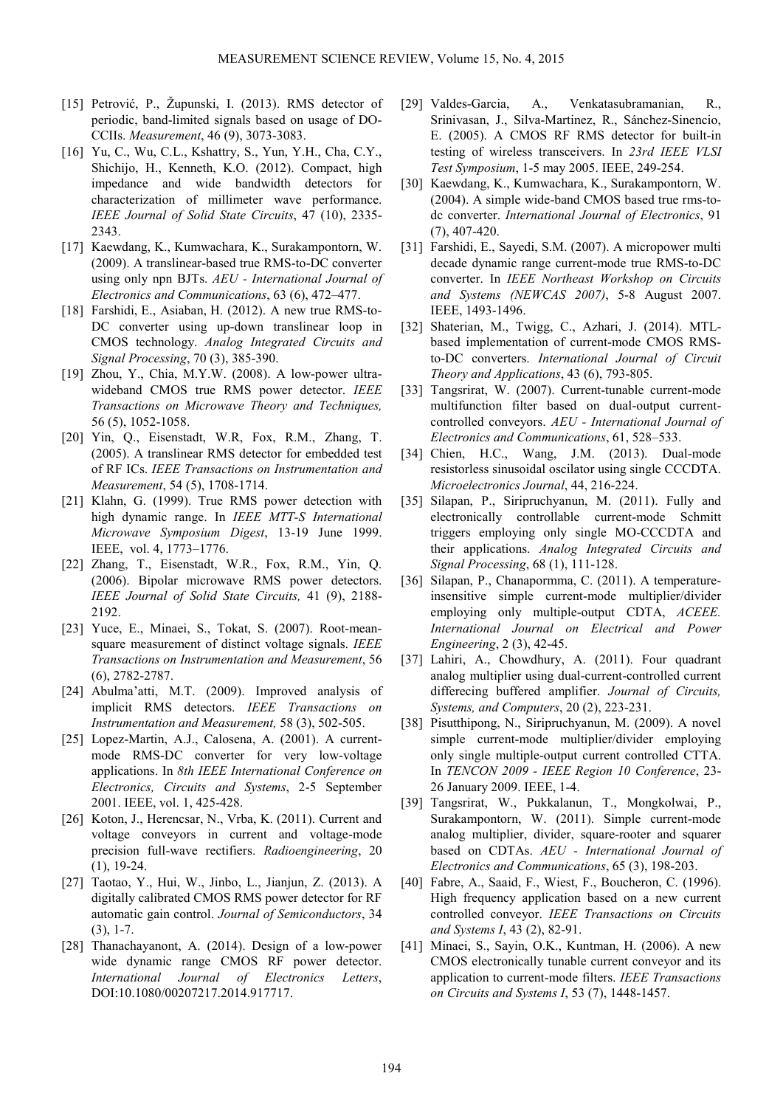- [15] Petrović, P., Župunski, I. (2013). RMS detector of periodic, band-limited signals based on usage of DO-CCIIs. *Measurement*, 46 (9), 3073-3083.
- [16] Yu, C., Wu, C.L., Kshattry, S., Yun, Y.H., Cha, C.Y., Shichijo, H., Kenneth, K.O. (2012). Compact, high impedance and wide bandwidth detectors for characterization of millimeter wave performance. *IEEE Journal of Solid State Circuits*, 47 (10), 2335- 2343.
- [17] Kaewdang, K., Kumwachara, K., Surakampontorn, W. (2009). A translinear-based true RMS-to-DC converter using only npn BJTs. *AEU - International Journal of Electronics and Communications*, 63 (6), 472–477.
- [18] Farshidi, E., Asiaban, H. (2012). A new true RMS-to-DC converter using up-down translinear loop in CMOS technology. *Analog Integrated Circuits and Signal Processing*, 70 (3), 385-390.
- [19] Zhou, Y., Chia, M.Y.W. (2008). A low-power ultrawideband CMOS true RMS power detector. *IEEE Transactions on Microwave Theory and Techniques,*  56 (5), 1052-1058.
- [20] Yin, Q., Eisenstadt, W.R, Fox, R.M., Zhang, T. (2005). A translinear RMS detector for embedded test of RF ICs. *IEEE Transactions on Instrumentation and Measurement*, 54 (5), 1708-1714.
- [21] Klahn, G. (1999). True RMS power detection with high dynamic range. In *IEEE MTT-S International Microwave Symposium Digest*, 13-19 June 1999. IEEE, vol. 4, 1773–1776.
- [22] Zhang, T., Eisenstadt, W.R., Fox, R.M., Yin, Q. (2006). Bipolar microwave RMS power detectors. *IEEE Journal of Solid State Circuits,* 41 (9), 2188- 2192.
- [23] Yuce, E., Minaei, S., Tokat, S. (2007). Root-meansquare measurement of distinct voltage signals. *IEEE Transactions on Instrumentation and Measurement*, 56 (6), 2782-2787.
- [24] Abulma'atti, M.T. (2009). Improved analysis of implicit RMS detectors. *IEEE Transactions on Instrumentation and Measurement,* 58 (3), 502-505.
- [25] Lopez-Martin, A.J., Calosena, A. (2001). A currentmode RMS-DC converter for very low-voltage applications. In *8th IEEE International Conference on Electronics, Circuits and Systems*, 2-5 September 2001. IEEE, vol. 1, 425-428.
- [26] Koton, J., Herencsar, N., Vrba, K. (2011). Current and voltage conveyors in current and voltage-mode precision full-wave rectifiers. *Radioengineering*, 20 (1), 19-24.
- [27] Taotao, Y., Hui, W., Jinbo, L., Jianjun, Z. (2013). A digitally calibrated CMOS RMS power detector for RF automatic gain control. *Journal of Semiconductors*, 34 (3), 1-7.
- [28] Thanachayanont, A. (2014). Design of a low-power wide dynamic range CMOS RF power detector. *International Journal of Electronics Letters*, DOI:10.1080/00207217.2014.917717.
- [29] Valdes-Garcia, A., Venkatasubramanian, R., Srinivasan, J., Silva-Martinez, R., Sánchez-Sinencio, E. (2005). A CMOS RF RMS detector for built-in testing of wireless transceivers. In *23rd IEEE VLSI Test Symposium*, 1-5 may 2005. IEEE, 249-254.
- [30] Kaewdang, K., Kumwachara, K., Surakampontorn, W. (2004). A simple wide-band CMOS based true rms-todc converter. *International Journal of Electronics*, 91 (7), 407-420.
- [31] Farshidi, E., Sayedi, S.M. (2007). A micropower multi decade dynamic range current-mode true RMS-to-DC converter. In *IEEE Northeast Workshop on Circuits and Systems (NEWCAS 2007)*, 5-8 August 2007. IEEE, 1493-1496.
- [32] Shaterian, M., Twigg, C., Azhari, J. (2014). MTLbased implementation of current-mode CMOS RMSto-DC converters. *International Journal of Circuit Theory and Applications*, 43 (6), 793-805.
- [33] Tangsrirat, W. (2007). Current-tunable current-mode multifunction filter based on dual-output currentcontrolled conveyors. *AEU - International Journal of Electronics and Communications*, 61, 528–533.
- [34] Chien, H.C., Wang, J.M. (2013). Dual-mode resistorless sinusoidal oscilator using single CCCDTA. *Microelectronics Journal*, 44, 216-224.
- [35] Silapan, P., Siripruchyanun, M. (2011). Fully and electronically controllable current-mode Schmitt triggers employing only single MO-CCCDTA and their applications. *Analog Integrated Circuits and Signal Processing*, 68 (1), 111-128.
- [36] Silapan, P., Chanapormma, C. (2011). A temperatureinsensitive simple current-mode multiplier/divider employing only multiple-output CDTA, *ACEEE. International Journal on Electrical and Power Engineering*, 2 (3), 42-45.
- [37] Lahiri, A., Chowdhury, A. (2011). Four quadrant analog multiplier using dual-current-controlled current differecing buffered amplifier. *Journal of Circuits, Systems, and Computers*, 20 (2), 223-231.
- [38] Pisutthipong, N., Siripruchyanun, M. (2009). A novel simple current-mode multiplier/divider employing only single multiple-output current controlled CTTA. In *TENCON 2009 - IEEE Region 10 Conference*, 23- 26 January 2009. IEEE, 1-4.
- [39] Tangsrirat, W., Pukkalanun, T., Mongkolwai, P., Surakampontorn, W. (2011). Simple current-mode analog multiplier, divider, square-rooter and squarer based on CDTAs. *AEU - International Journal of Electronics and Communications*, 65 (3), 198-203.
- [40] Fabre, A., Saaid, F., Wiest, F., Boucheron, C. (1996). High frequency application based on a new current controlled conveyor. *IEEE Transactions on Circuits and Systems I*, 43 (2), 82-91.
- [41] Minaei, S., Sayin, O.K., Kuntman, H. (2006). A new CMOS electronically tunable current conveyor and its application to current-mode filters. *IEEE Transactions on Circuits and Systems I*, 53 (7), 1448-1457.